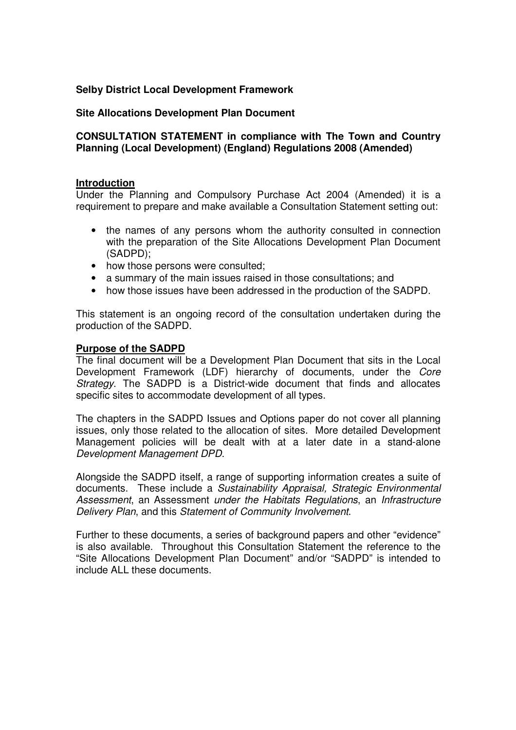### **Selby District Local Development Framework**

#### **Site Allocations Development Plan Document**

#### **CONSULTATION STATEMENT in compliance with The Town and Country Planning (Local Development) (England) Regulations 2008 (Amended)**

#### **Introduction**

Under the Planning and Compulsory Purchase Act 2004 (Amended) it is a requirement to prepare and make available a Consultation Statement setting out:

- the names of any persons whom the authority consulted in connection with the preparation of the Site Allocations Development Plan Document (SADPD);
- how those persons were consulted;
- a summary of the main issues raised in those consultations; and
- how those issues have been addressed in the production of the SADPD.

This statement is an ongoing record of the consultation undertaken during the production of the SADPD.

#### **Purpose of the SADPD**

The final document will be a Development Plan Document that sits in the Local Development Framework (LDF) hierarchy of documents, under the *Core Strategy*. The SADPD is a District-wide document that finds and allocates specific sites to accommodate development of all types.

The chapters in the SADPD Issues and Options paper do not cover all planning issues, only those related to the allocation of sites. More detailed Development Management policies will be dealt with at a later date in a stand-alone *Development Management DPD*.

Alongside the SADPD itself, a range of supporting information creates a suite of documents. These include a *Sustainability Appraisal, Strategic Environmental Assessment*, an Assessment *under the Habitats Regulations*, an *Infrastructure Delivery Plan*, and this *Statement of Community Involvement*.

Further to these documents, a series of background papers and other "evidence" is also available. Throughout this Consultation Statement the reference to the "Site Allocations Development Plan Document" and/or "SADPD" is intended to include ALL these documents.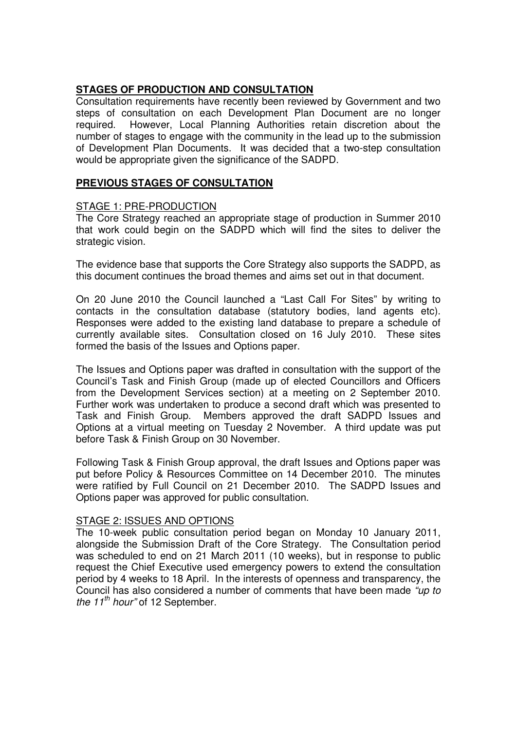### **STAGES OF PRODUCTION AND CONSULTATION**

Consultation requirements have recently been reviewed by Government and two steps of consultation on each Development Plan Document are no longer required. However, Local Planning Authorities retain discretion about the number of stages to engage with the community in the lead up to the submission of Development Plan Documents. It was decided that a two-step consultation would be appropriate given the significance of the SADPD.

### **PREVIOUS STAGES OF CONSULTATION**

#### STAGE 1: PRE-PRODUCTION

The Core Strategy reached an appropriate stage of production in Summer 2010 that work could begin on the SADPD which will find the sites to deliver the strategic vision.

The evidence base that supports the Core Strategy also supports the SADPD, as this document continues the broad themes and aims set out in that document.

On 20 June 2010 the Council launched a "Last Call For Sites" by writing to contacts in the consultation database (statutory bodies, land agents etc). Responses were added to the existing land database to prepare a schedule of currently available sites. Consultation closed on 16 July 2010. These sites formed the basis of the Issues and Options paper.

The Issues and Options paper was drafted in consultation with the support of the Council's Task and Finish Group (made up of elected Councillors and Officers from the Development Services section) at a meeting on 2 September 2010. Further work was undertaken to produce a second draft which was presented to Task and Finish Group. Members approved the draft SADPD Issues and Options at a virtual meeting on Tuesday 2 November. A third update was put before Task & Finish Group on 30 November.

Following Task & Finish Group approval, the draft Issues and Options paper was put before Policy & Resources Committee on 14 December 2010. The minutes were ratified by Full Council on 21 December 2010. The SADPD Issues and Options paper was approved for public consultation.

# STAGE 2: ISSUES AND OPTIONS

The 10-week public consultation period began on Monday 10 January 2011, alongside the Submission Draft of the Core Strategy. The Consultation period was scheduled to end on 21 March 2011 (10 weeks), but in response to public request the Chief Executive used emergency powers to extend the consultation period by 4 weeks to 18 April. In the interests of openness and transparency, the Council has also considered a number of comments that have been made *"up to the 11 th hour"* of 12 September.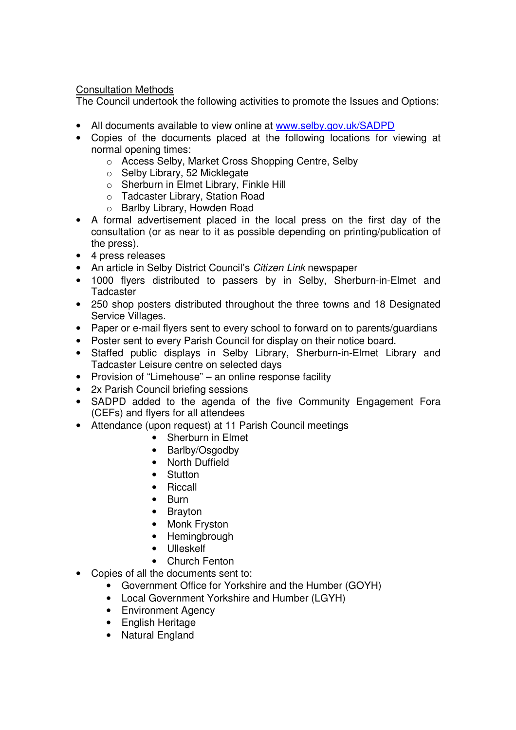## Consultation Methods

The Council undertook the following activities to promote the Issues and Options:

- All documents available to view online at www.selby.gov.uk/SADPD
- Copies of the documents placed at the following locations for viewing at normal opening times:
	- o Access Selby, Market Cross Shopping Centre, Selby
	- o Selby Library, 52 Micklegate
	- o Sherburn in Elmet Library, Finkle Hill
	- o Tadcaster Library, Station Road
	- o Barlby Library, Howden Road
- A formal advertisement placed in the local press on the first day of the consultation (or as near to it as possible depending on printing/publication of the press).
- 4 press releases
- An article in Selby District Council's *Citizen Link* newspaper
- 1000 flyers distributed to passers by in Selby, Sherburn-in-Elmet and **Tadcaster**
- 250 shop posters distributed throughout the three towns and 18 Designated Service Villages.
- Paper or e-mail flyers sent to every school to forward on to parents/guardians
- Poster sent to every Parish Council for display on their notice board.
- Staffed public displays in Selby Library, Sherburn-in-Elmet Library and Tadcaster Leisure centre on selected days
- Provision of "Limehouse" an online response facility
- 2x Parish Council briefing sessions
- SADPD added to the agenda of the five Community Engagement Fora (CEFs) and flyers for all attendees
- Attendance (upon request) at 11 Parish Council meetings
	- Sherburn in Elmet
	- Barlby/Osgodby
	- North Duffield
	- Stutton
	- Riccall
	- Burn
	- Brayton
	- Monk Fryston
	- Hemingbrough
	- Ulleskelf
	- Church Fenton
- Copies of all the documents sent to:
	- Government Office for Yorkshire and the Humber (GOYH)
	- Local Government Yorkshire and Humber (LGYH)
	- Environment Agency
	- English Heritage
	- Natural England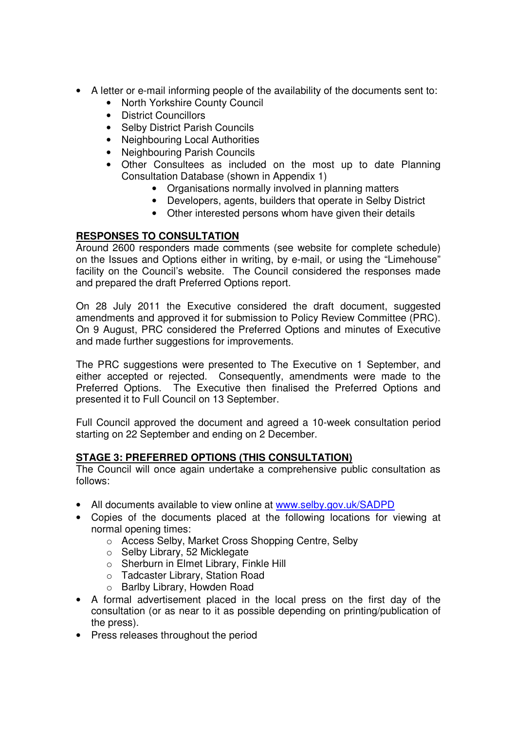- A letter or e-mail informing people of the availability of the documents sent to:
	- North Yorkshire County Council
	- District Councillors
	- Selby District Parish Councils
	- Neighbouring Local Authorities
	- Neighbouring Parish Councils
	- Other Consultees as included on the most up to date Planning Consultation Database (shown in Appendix 1)
		- Organisations normally involved in planning matters
		- Developers, agents, builders that operate in Selby District
		- Other interested persons whom have given their details

# **RESPONSES TO CONSULTATION**

Around 2600 responders made comments (see website for complete schedule) on the Issues and Options either in writing, by e-mail, or using the "Limehouse" facility on the Council's website. The Council considered the responses made and prepared the draft Preferred Options report.

On 28 July 2011 the Executive considered the draft document, suggested amendments and approved it for submission to Policy Review Committee (PRC). On 9 August, PRC considered the Preferred Options and minutes of Executive and made further suggestions for improvements.

The PRC suggestions were presented to The Executive on 1 September, and either accepted or rejected. Consequently, amendments were made to the Preferred Options. The Executive then finalised the Preferred Options and presented it to Full Council on 13 September.

Full Council approved the document and agreed a 10-week consultation period starting on 22 September and ending on 2 December.

# **STAGE 3: PREFERRED OPTIONS (THIS CONSULTATION)**

The Council will once again undertake a comprehensive public consultation as follows:

- All documents available to view online at www.selby.gov.uk/SADPD
- Copies of the documents placed at the following locations for viewing at normal opening times:
	- o Access Selby, Market Cross Shopping Centre, Selby
	- o Selby Library, 52 Micklegate
	- o Sherburn in Elmet Library, Finkle Hill
	- o Tadcaster Library, Station Road
	- o Barlby Library, Howden Road
- A formal advertisement placed in the local press on the first day of the consultation (or as near to it as possible depending on printing/publication of the press).
- Press releases throughout the period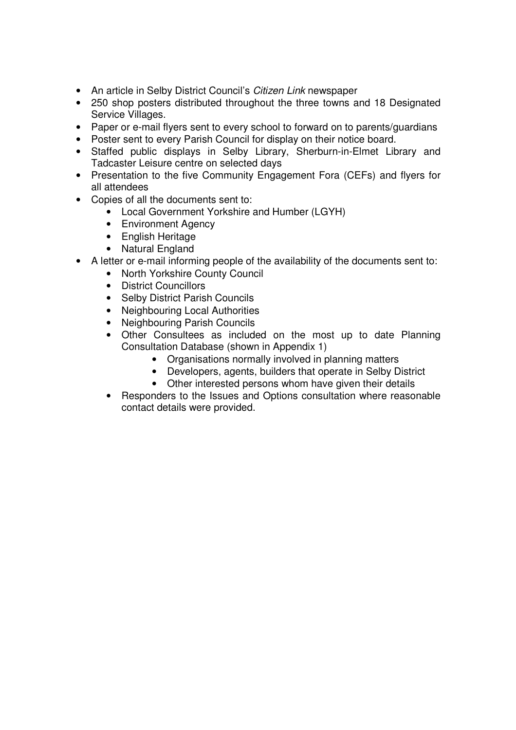- An article in Selby District Council's *Citizen Link* newspaper
- 250 shop posters distributed throughout the three towns and 18 Designated Service Villages.
- Paper or e-mail flyers sent to every school to forward on to parents/guardians
- Poster sent to every Parish Council for display on their notice board.
- Staffed public displays in Selby Library, Sherburn-in-Elmet Library and Tadcaster Leisure centre on selected days
- Presentation to the five Community Engagement Fora (CEFs) and flyers for all attendees
- Copies of all the documents sent to:
	- Local Government Yorkshire and Humber (LGYH)
	- Environment Agency
	- English Heritage
	- Natural England
- A letter or e-mail informing people of the availability of the documents sent to:
	- North Yorkshire County Council
	- District Councillors
	- Selby District Parish Councils
	- Neighbouring Local Authorities
	- Neighbouring Parish Councils
	- Other Consultees as included on the most up to date Planning Consultation Database (shown in Appendix 1)
		- Organisations normally involved in planning matters
		- Developers, agents, builders that operate in Selby District
		- Other interested persons whom have given their details
	- Responders to the Issues and Options consultation where reasonable contact details were provided.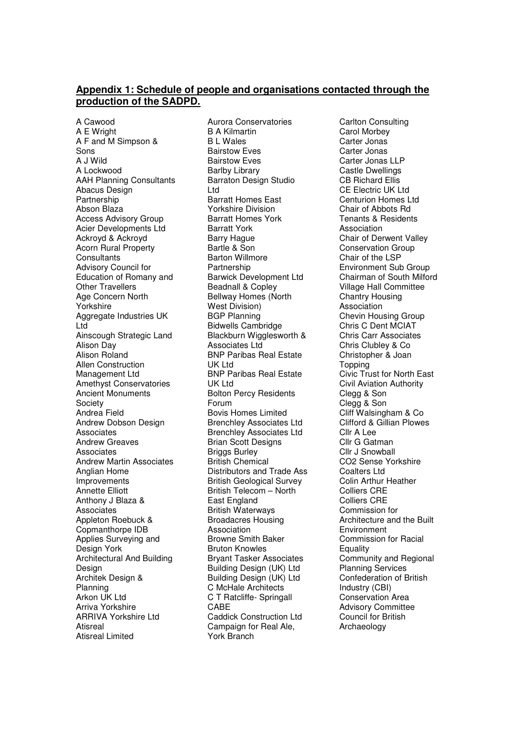#### **Appendix 1: Schedule of people and organisations contacted through the production of the SADPD.**

A Cawood A E Wright A F and M Simpson & Sons A J Wild A Lockwood AAH Planning Consultants Abacus Design Partnership Abson Blaza Access Advisory Group Acier Developments Ltd Ackroyd & Ackroyd Acorn Rural Property **Consultants** Advisory Council for Education of Romany and Other Travellers Age Concern North Yorkshire Aggregate Industries UK Ltd Ainscough Strategic Land Alison Day Alison Roland Allen Construction Management Ltd Amethyst Conservatories Ancient Monuments **Society** Andrea Field Andrew Dobson Design Associates Andrew Greaves Associates Andrew Martin Associates Anglian Home Improvements Annette Elliott Anthony J Blaza & **Associates** Appleton Roebuck & Copmanthorpe IDB Applies Surveying and Design York Architectural And Building Design Architek Design & Planning Arkon UK Ltd Arriva Yorkshire ARRIVA Yorkshire Ltd Atisreal Atisreal Limited

Aurora Conservatories B A Kilmartin B L Wales Bairstow Eves Bairstow Eves Barlby Library Barraton Design Studio Ltd Barratt Homes East Yorkshire Division Barratt Homes York Barratt York Barry Hague Bartle & Son Barton Willmore Partnership Barwick Development Ltd Beadnall & Copley Bellway Homes (North West Division) BGP Planning Bidwells Cambridge Blackburn Wigglesworth & Associates Ltd BNP Paribas Real Estate UK Ltd BNP Paribas Real Estate UK Ltd Bolton Percy Residents Forum Bovis Homes Limited Brenchley Associates Ltd Brenchley Associates Ltd Brian Scott Designs **Briggs Burley** British Chemical Distributors and Trade Ass British Geological Survey British Telecom – North East England British Waterways Broadacres Housing Association Browne Smith Baker Bruton Knowles Bryant Tasker Associates Building Design (UK) Ltd Building Design (UK) Ltd C McHale Architects C T Ratcliffe- Springall CABE Caddick Construction Ltd Campaign for Real Ale, York Branch

Carlton Consulting Carol Morbey Carter Jonas Carter Jonas Carter Jonas LLP Castle Dwellings CB Richard Ellis CE Electric UK Ltd Centurion Homes Ltd Chair of Abbots Rd Tenants & Residents Association Chair of Derwent Valley Conservation Group Chair of the LSP Environment Sub Group Chairman of South Milford Village Hall Committee Chantry Housing Association Chevin Housing Group Chris C Dent MCIAT Chris Carr Associates Chris Clubley & Co Christopher & Joan **Topping** Civic Trust for North East Civil Aviation Authority Clegg & Son Clegg & Son Cliff Walsingham & Co Clifford & Gillian Plowes Cllr A Lee Cllr G Gatman Cllr J Snowball CO2 Sense Yorkshire Coalters Ltd Colin Arthur Heather Colliers CRE Colliers CRE Commission for Architecture and the Built Environment Commission for Racial **Equality** Community and Regional Planning Services Confederation of British Industry (CBI) Conservation Area Advisory Committee Council for British Archaeology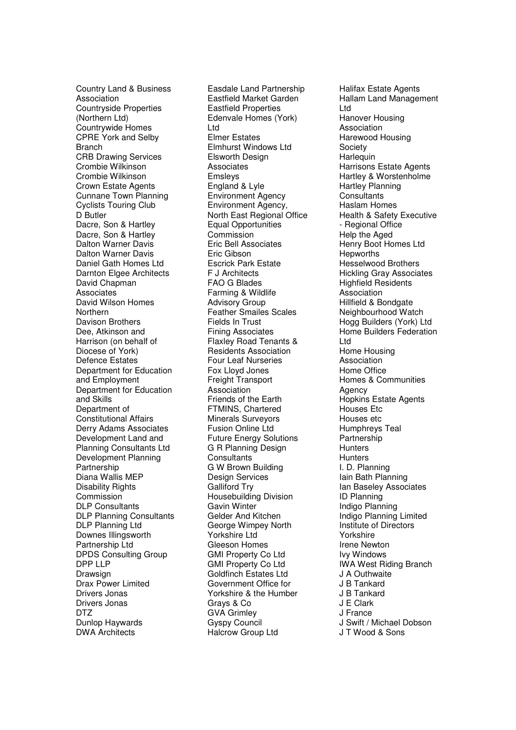Country Land & Business Association Countryside Properties (Northern Ltd) Countrywide Homes CPRE York and Selby **Branch** CRB Drawing Services Crombie Wilkinson Crombie Wilkinson Crown Estate Agents Cunnane Town Planning Cyclists Touring Club D Butler Dacre, Son & Hartley Dacre, Son & Hartley Dalton Warner Davis Dalton Warner Davis Daniel Gath Homes Ltd Darnton Elgee Architects David Chapman **Associates** David Wilson Homes **Northern** Davison Brothers Dee, Atkinson and Harrison (on behalf of Diocese of York) Defence Estates Department for Education and Employment Department for Education and Skills Department of Constitutional Affairs Derry Adams Associates Development Land and Planning Consultants Ltd Development Planning Partnership Diana Wallis MEP Disability Rights Commission DLP Consultants DLP Planning Consultants DLP Planning Ltd Downes Illingsworth Partnership Ltd DPDS Consulting Group DPP LLP Drawsign Drax Power Limited Drivers Jonas Drivers Jonas DTZ Dunlop Haywards DWA Architects

Easdale Land Partnership Eastfield Market Garden Eastfield Properties Edenvale Homes (York) Ltd Elmer Estates Elmhurst Windows Ltd Elsworth Design Associates Emsleys England & Lyle Environment Agency Environment Agency, North East Regional Office Equal Opportunities Commission Eric Bell Associates Eric Gibson Escrick Park Estate F J Architects FAO G Blades Farming & Wildlife Advisory Group Feather Smailes Scales Fields In Trust Fining Associates Flaxley Road Tenants & Residents Association Four Leaf Nurseries Fox Lloyd Jones Freight Transport **Association** Friends of the Earth FTMINS, Chartered Minerals Surveyors Fusion Online Ltd Future Energy Solutions G R Planning Design **Consultants** G W Brown Building Design Services Galliford Try Housebuilding Division Gavin Winter Gelder And Kitchen George Wimpey North Yorkshire Ltd Gleeson Homes GMI Property Co Ltd GMI Property Co Ltd Goldfinch Estates Ltd Government Office for Yorkshire & the Humber Grays & Co GVA Grimley Gyspy Council Halcrow Group Ltd

Halifax Estate Agents Hallam Land Management Ltd Hanover Housing Association Harewood Housing **Society Harlequin** Harrisons Estate Agents Hartley & Worstenholme Hartley Planning **Consultants** Haslam Homes Health & Safety Executive - Regional Office Help the Aged Henry Boot Homes Ltd **Hepworths** Hesselwood Brothers Hickling Gray Associates Highfield Residents Association Hillfield & Bondgate Neighbourhood Watch Hogg Builders (York) Ltd Home Builders Federation Ltd Home Housing Association Home Office Homes & Communities Agency Hopkins Estate Agents Houses Etc Houses etc Humphreys Teal **Partnership Hunters Hunters** I. D. Planning Iain Bath Planning Ian Baseley Associates ID Planning Indigo Planning Indigo Planning Limited Institute of Directors Yorkshire Irene Newton Ivy Windows IWA West Riding Branch J A Outhwaite J B Tankard J B Tankard J E Clark J France J Swift / Michael Dobson J T Wood & Sons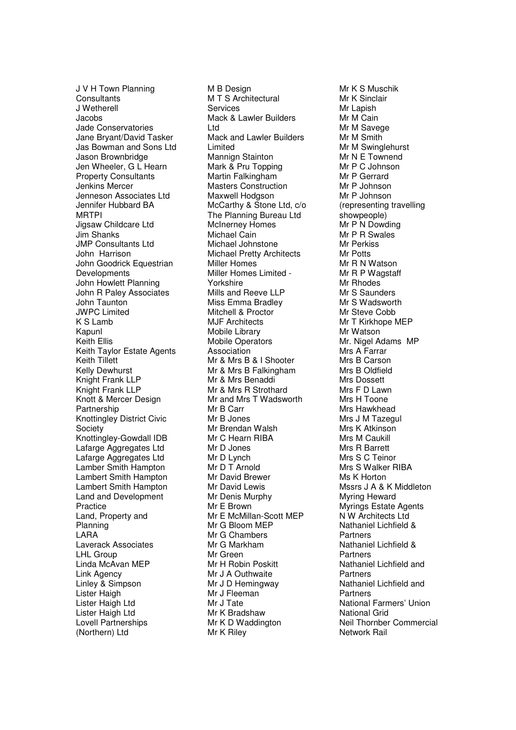J V H Town Planning **Consultants** J Wetherell Jacobs Jade Conservatories Jane Bryant/David Tasker Jas Bowman and Sons Ltd Jason Brownbridge Jen Wheeler, G L Hearn Property Consultants Jenkins Mercer Jenneson Associates Ltd Jennifer Hubbard BA **MRTPI** Jigsaw Childcare Ltd Jim Shanks JMP Consultants Ltd John Harrison John Goodrick Equestrian **Developments** John Howlett Planning John R Paley Associates John Taunton JWPC Limited K S Lamb Kapunl Keith Ellis Keith Taylor Estate Agents Keith Tillett Kelly Dewhurst Knight Frank LLP Knight Frank LLP Knott & Mercer Design Partnership Knottingley District Civic **Society** Knottingley-Gowdall IDB Lafarge Aggregates Ltd Lafarge Aggregates Ltd Lamber Smith Hampton Lambert Smith Hampton Lambert Smith Hampton Land and Development Practice Land, Property and Planning LARA Laverack Associates LHL Group Linda McAvan MEP Link Agency Linley & Simpson Lister Haigh Lister Haigh Ltd Lister Haigh Ltd Lovell Partnerships (Northern) Ltd

M B Design M T S Architectural Services Mack & Lawler Builders Ltd Mack and Lawler Builders Limited Mannign Stainton Mark & Pru Topping Martin Falkingham Masters Construction Maxwell Hodgson McCarthy & Stone Ltd, c/o The Planning Bureau Ltd McInerney Homes Michael Cain Michael Johnstone Michael Pretty Architects Miller Homes Miller Homes Limited - Yorkshire Mills and Reeve LLP Miss Emma Bradley Mitchell & Proctor MJF Architects Mobile Library Mobile Operators **Association** Mr & Mrs B & I Shooter Mr & Mrs B Falkingham Mr & Mrs Benaddi Mr & Mrs R Strothard Mr and Mrs T Wadsworth Mr B Carr Mr B Jones Mr Brendan Walsh Mr C Hearn RIBA Mr D Jones Mr D Lynch Mr D T Arnold Mr David Brewer Mr David Lewis Mr Denis Murphy Mr E Brown Mr E McMillan-Scott MEP Mr G Bloom MEP Mr G Chambers Mr G Markham Mr Green Mr H Robin Poskitt Mr J A Outhwaite Mr J D Hemingway Mr J Fleeman Mr J Tate Mr K Bradshaw Mr K D Waddington Mr K Riley

Mr K S Muschik Mr K Sinclair Mr Lapish Mr M Cain Mr M Savege Mr M Smith Mr M Swinglehurst Mr N E Townend Mr P C Johnson Mr P Gerrard Mr P Johnson Mr P Johnson (representing travelling showpeople) Mr P N Dowding Mr P R Swales Mr Perkiss Mr Potts Mr R N Watson Mr R P Wagstaff Mr Rhodes Mr S Saunders Mr S Wadsworth Mr Steve Cobb Mr T Kirkhope MEP Mr Watson Mr. Nigel Adams MP Mrs A Farrar Mrs B Carson Mrs B Oldfield Mrs Dossett Mrs F D Lawn Mrs H Toone Mrs Hawkhead Mrs J M Tazegul Mrs K Atkinson Mrs M Caukill Mrs R Barrett Mrs S C Teinor Mrs S Walker RIBA Ms K Horton Mssrs J A & K Middleton Myring Heward Myrings Estate Agents N W Architects Ltd Nathaniel Lichfield & Partners Nathaniel Lichfield & Partners Nathaniel Lichfield and **Partners** Nathaniel Lichfield and **Partners** National Farmers' Union National Grid Neil Thornber Commercial Network Rail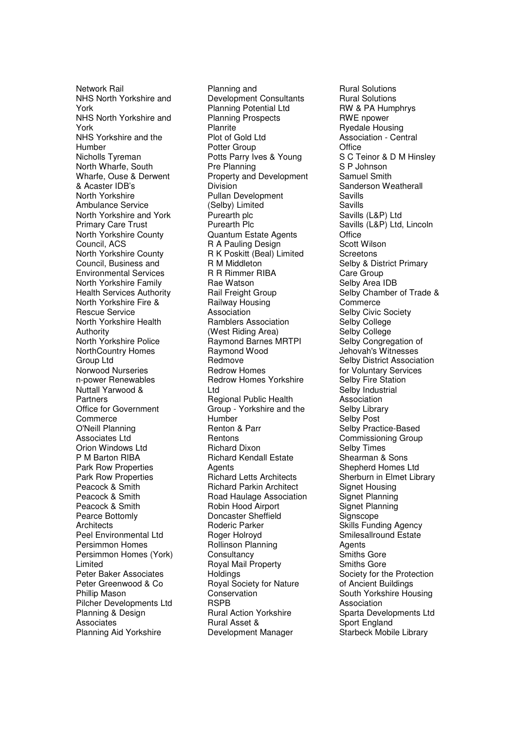Network Rail NHS North Yorkshire and York NHS North Yorkshire and York NHS Yorkshire and the Humber Nicholls Tyreman North Wharfe, South Wharfe, Ouse & Derwent & Acaster IDB's North Yorkshire Ambulance Service North Yorkshire and York Primary Care Trust North Yorkshire County Council, ACS North Yorkshire County Council, Business and Environmental Services North Yorkshire Family Health Services Authority North Yorkshire Fire & Rescue Service North Yorkshire Health Authority North Yorkshire Police NorthCountry Homes Group Ltd Norwood Nurseries n-power Renewables Nuttall Yarwood & **Partners** Office for Government **Commerce** O'Neill Planning Associates Ltd Orion Windows Ltd P M Barton RIBA Park Row Properties Park Row Properties Peacock & Smith Peacock & Smith Peacock & Smith Pearce Bottomly **Architects** Peel Environmental Ltd Persimmon Homes Persimmon Homes (York) Limited Peter Baker Associates Peter Greenwood & Co Phillip Mason Pilcher Developments Ltd Planning & Design **Associates** Planning Aid Yorkshire

Planning and Development Consultants Planning Potential Ltd Planning Prospects Planrite Plot of Gold Ltd Potter Group Potts Parry Ives & Young Pre Planning Property and Development **Division** Pullan Development (Selby) Limited Purearth plc Purearth Plc Quantum Estate Agents R A Pauling Design R K Poskitt (Beal) Limited R M Middleton R R Rimmer RIBA Rae Watson Rail Freight Group Railway Housing Association Ramblers Association (West Riding Area) Raymond Barnes MRTPI Raymond Wood Redmove Redrow Homes Redrow Homes Yorkshire Ltd Regional Public Health Group - Yorkshire and the **Humber** Renton & Parr Rentons Richard Dixon Richard Kendall Estate **Agents** Richard Letts Architects Richard Parkin Architect Road Haulage Association Robin Hood Airport Doncaster Sheffield Roderic Parker Roger Holroyd Rollinson Planning **Consultancy** Royal Mail Property **Holdings** Royal Society for Nature Conservation RSPB Rural Action Yorkshire Rural Asset & Development Manager

Rural Solutions Rural Solutions RW & PA Humphrys RWE npower Ryedale Housing Association - Central **Office** S C Teinor & D M Hinsley S P Johnson Samuel Smith Sanderson Weatherall Savills Savills Savills (L&P) Ltd Savills (L&P) Ltd, Lincoln **Office** Scott Wilson **Screetons** Selby & District Primary Care Group Selby Area IDB Selby Chamber of Trade & **Commerce** Selby Civic Society Selby College Selby College Selby Congregation of Jehovah's Witnesses Selby District Association for Voluntary Services Selby Fire Station Selby Industrial Association Selby Library Selby Post Selby Practice-Based Commissioning Group Selby Times Shearman & Sons Shepherd Homes Ltd Sherburn in Elmet Library Signet Housing Signet Planning Signet Planning **Signscope** Skills Funding Agency Smilesallround Estate Agents Smiths Gore Smiths Gore Society for the Protection of Ancient Buildings South Yorkshire Housing **Association** Sparta Developments Ltd Sport England Starbeck Mobile Library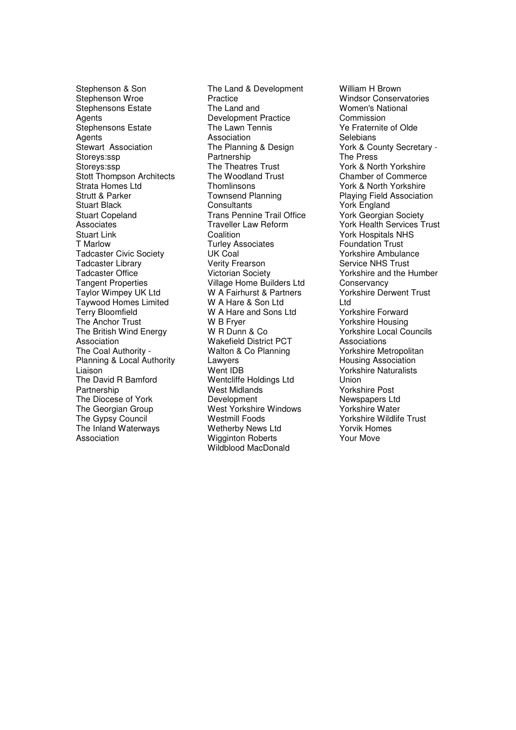Stephenson & Son Stephenson Wroe Stephensons Estate **Agents** Stephensons Estate **Agents** Stewart Association Storeys:ssp Storeys:ssp Stott Thompson Architects Strata Homes Ltd Strutt & Parker Stuart Black Stuart Copeland Associates Stuart Link T Marlow Tadcaster Civic Society Tadcaster Library Tadcaster Office Tangent Properties Taylor Wimpey UK Ltd Taywood Homes Limited Terry Bloomfield The Anchor Trust The British Wind Energy Association The Coal Authority - Planning & Local Authority Liaison The David R Bamford Partnership The Diocese of York The Georgian Group The Gypsy Council The Inland Waterways Association

The Land & Development Practice The Land and Development Practice The Lawn Tennis Association The Planning & Design Partnership The Theatres Trust The Woodland Trust **Thomlinsons** Townsend Planning **Consultants** Trans Pennine Trail Office Traveller Law Reform Coalition Turley Associates UK Coal Verity Frearson Victorian Society Village Home Builders Ltd W A Fairhurst & Partners W A Hare & Son Ltd W A Hare and Sons Ltd W B Fryer W R Dunn & Co Wakefield District PCT Walton & Co Planning **Lawyers** Went IDB Wentcliffe Holdings Ltd West Midlands **Development** West Yorkshire Windows Westmill Foods Wetherby News Ltd Wigginton Roberts Wildblood MacDonald

William H Brown Windsor Conservatories Women's National Commission Ye Fraternite of Olde **Selebians** York & County Secretary - The Press York & North Yorkshire Chamber of Commerce York & North Yorkshire Playing Field Association York England York Georgian Society York Health Services Trust York Hospitals NHS Foundation Trust Yorkshire Ambulance Service NHS Trust Yorkshire and the Humber **Conservancy** Yorkshire Derwent Trust Ltd Yorkshire Forward Yorkshire Housing Yorkshire Local Councils Associations Yorkshire Metropolitan Housing Association Yorkshire Naturalists Union Yorkshire Post Newspapers Ltd Yorkshire Water Yorkshire Wildlife Trust Yorvik Homes Your Move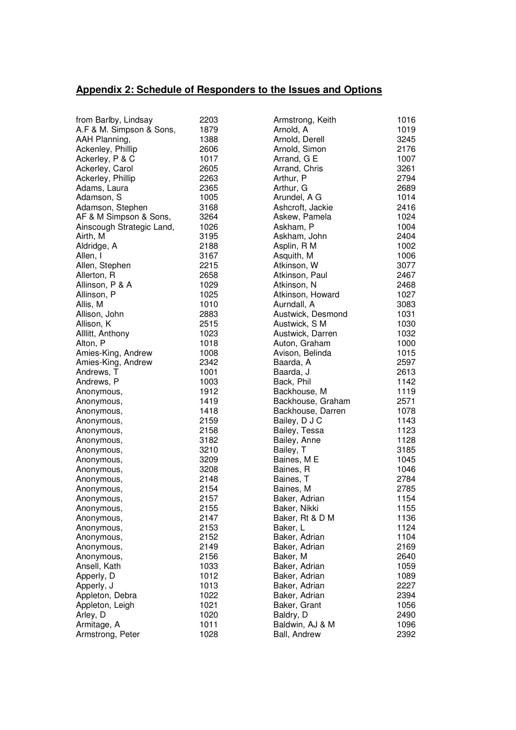# **Appendix 2: Schedule of Responders to the Issues and Options**

| from Barlby, Lindsay      | 2203 | Armstrong, Keith  | 1016 |
|---------------------------|------|-------------------|------|
| A.F & M. Simpson & Sons,  | 1879 | Arnold, A         | 1019 |
| AAH Planning,             | 1388 | Arnold, Derell    | 3245 |
| Ackenley, Phillip         | 2606 | Arnold, Simon     | 2176 |
| Ackerley, P & C           | 1017 | Arrand, G E       | 1007 |
| Ackerley, Carol           | 2605 | Arrand, Chris     | 3261 |
| Ackerley, Phillip         | 2263 | Arthur, P         | 2794 |
| Adams, Laura              | 2365 | Arthur, G         | 2689 |
| Adamson, S                | 1005 | Arundel, A G      | 1014 |
| Adamson, Stephen          | 3168 | Ashcroft, Jackie  | 2416 |
| AF & M Simpson & Sons,    | 3264 | Askew, Pamela     | 1024 |
| Ainscough Strategic Land, | 1026 | Askham, P         | 1004 |
| Airth, M                  | 3195 | Askham, John      | 2404 |
| Aldridge, A               | 2188 | Asplin, R M       | 1002 |
| Allen, I                  | 3167 | Asquith, M        | 1006 |
| Allen, Stephen            | 2215 | Atkinson, W       | 3077 |
| Allerton, R               | 2658 | Atkinson, Paul    | 2467 |
| Allinson, P & A           | 1029 | Atkinson, N       | 2468 |
| Allinson, P               | 1025 | Atkinson, Howard  | 1027 |
| Allis, M                  | 1010 | Aurndall, A       | 3083 |
| Allison, John             | 2883 | Austwick, Desmond | 1031 |
| Allison, K                | 2515 | Austwick, S M     | 1030 |
| Alllitt, Anthony          | 1023 | Austwick, Darren  | 1032 |
| Alton, P                  | 1018 | Auton, Graham     | 1000 |
| Amies-King, Andrew        | 1008 | Avison, Belinda   | 1015 |
| Amies-King, Andrew        | 2342 | Baarda, A         | 2597 |
| Andrews, T                | 1001 | Baarda, J         | 2613 |
| Andrews, P                | 1003 | Back, Phil        | 1142 |
| Anonymous,                | 1912 | Backhouse, M      | 1119 |
| Anonymous,                | 1419 | Backhouse, Graham | 2571 |
| Anonymous,                | 1418 | Backhouse, Darren | 1078 |
| Anonymous,                | 2159 | Bailey, D J C     | 1143 |
| Anonymous,                | 2158 | Bailey, Tessa     | 1123 |
| Anonymous,                | 3182 | Bailey, Anne      | 1128 |
| Anonymous,                | 3210 | Bailey, T         | 3185 |
| Anonymous,                | 3209 | Baines, M E       | 1045 |
| Anonymous,                | 3208 | Baines, R         | 1046 |
| Anonymous,                | 2148 | Baines, T         | 2784 |
| Anonymous,                | 2154 | Baines, M         | 2785 |
| Anonymous,                | 2157 | Baker, Adrian     | 1154 |
| Anonymous,                | 2155 | Baker, Nikki      | 1155 |
| Anonymous,                | 2147 | Baker, Rt & D M   | 1136 |
| Anonymous,                | 2153 | Baker, L          | 1124 |
| Anonymous,                | 2152 | Baker, Adrian     | 1104 |
| Anonymous,                | 2149 | Baker, Adrian     | 2169 |
| Anonymous,                | 2156 | Baker, M          | 2640 |
| Ansell, Kath              | 1033 | Baker, Adrian     | 1059 |
| Apperly, D                | 1012 | Baker, Adrian     | 1089 |
| Apperly, J                | 1013 | Baker, Adrian     | 2227 |
| Appleton, Debra           | 1022 | Baker, Adrian     | 2394 |
| Appleton, Leigh           | 1021 | Baker, Grant      | 1056 |
| Arley, D                  | 1020 | Baldry, D         | 2490 |
| Armitage, A               | 1011 | Baldwin, AJ & M   | 1096 |
| Armstrong, Peter          | 1028 | Ball, Andrew      | 2392 |
|                           |      |                   |      |

| Armstrong, Keith  | 1016 |
|-------------------|------|
| Arnold, A         | 1019 |
| Arnold, Derell    | 3245 |
| Arnold, Simon     | 2176 |
| Arrand, G E       | 1007 |
| Arrand, Chris     | 3261 |
| Arthur, P         | 2794 |
| Arthur, G         | 2689 |
| Arundel, A G      | 1014 |
|                   |      |
| Ashcroft, Jackie  | 2416 |
| Askew, Pamela     | 1024 |
| Askham, P         | 1004 |
| Askham, John      | 2404 |
| Asplin, R M       | 1002 |
| Asquith, M        | 1006 |
| Atkinson, W       | 3077 |
| Atkinson, Paul    | 2467 |
| Atkinson, N       | 2468 |
| Atkinson, Howard  | 1027 |
| Aurndall, A       | 3083 |
|                   |      |
| Austwick, Desmond | 1031 |
| Austwick, S M     | 1030 |
| Austwick, Darren  | 1032 |
| Auton, Graham     | 1000 |
| Avison, Belinda   | 1015 |
| Baarda, A         | 2597 |
| Baarda, J         | 2613 |
| Back, Phil        | 1142 |
| Backhouse, M      | 1119 |
| Backhouse, Graham | 2571 |
| Backhouse, Darren | 1078 |
| Bailey, D J C     | 1143 |
|                   |      |
| Bailey, Tessa     | 1123 |
| Bailey, Anne      | 1128 |
| Bailey, T         | 3185 |
| Baines, M E       | 1045 |
| Baines, R         | 1046 |
| Baines, T         | 2784 |
| Baines, M         | 2785 |
| Baker, Adrian     | 1154 |
| Baker, Nikki      | 1155 |
| Baker, Rt & D M   | 1136 |
| Baker, L          | 1124 |
| Baker, Adrian     | 1104 |
| Baker, Adrian     | 2169 |
|                   |      |
| Baker, M          | 2640 |
| Baker, Adrian     | 1059 |
| Baker, Adrian     | 1089 |
| Baker, Adrian     | 2227 |
| Baker, Adrian     | 2394 |
| Baker, Grant      | 1056 |
| Baldry, D         | 2490 |
| Baldwin, AJ & M   | 1096 |
| Dell Androi       | ∩∩מ  |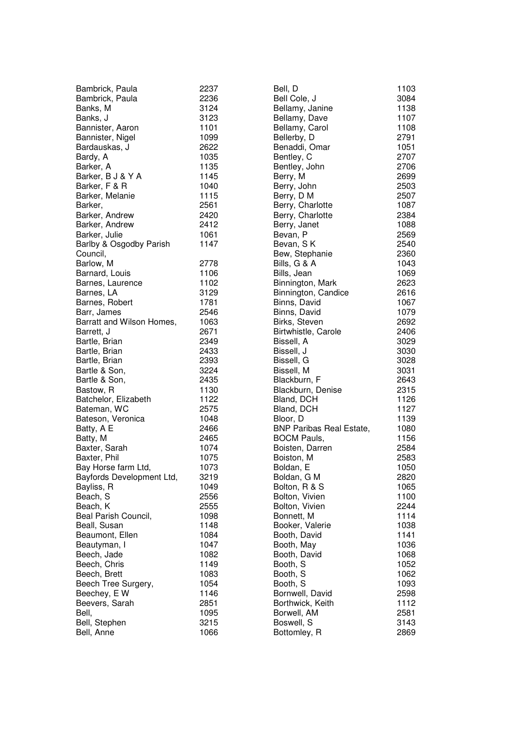| 1101<br>Bannister, Aaron<br>Bannister, Nigel<br>Bardauskas, J<br>Bardy, A<br>Barker, A<br>Barker, B J & Y A<br>Barker, F & R<br>Barker, Melanie<br>Barker,<br>Barker, Andrew<br>Barker, Andrew<br>Barker, Julie<br>Barlby & Osgodby Parish<br>Council, | 1099<br>2622<br>1035<br>1135<br>1145<br>1040<br>1115<br>2561<br>2420<br>2412<br>1061<br>1147 |
|--------------------------------------------------------------------------------------------------------------------------------------------------------------------------------------------------------------------------------------------------------|----------------------------------------------------------------------------------------------|
| Barlow, M                                                                                                                                                                                                                                              | 2778                                                                                         |
| Barnard, Louis                                                                                                                                                                                                                                         | 1106                                                                                         |
| Barnes, Laurence                                                                                                                                                                                                                                       | 1102                                                                                         |
| Barnes, LA                                                                                                                                                                                                                                             | 3129                                                                                         |
| Barnes, Robert                                                                                                                                                                                                                                         | 1781                                                                                         |
| Barr, James                                                                                                                                                                                                                                            | 2546                                                                                         |
| Barratt and Wilson Homes,                                                                                                                                                                                                                              | 1063                                                                                         |
| Barrett, J                                                                                                                                                                                                                                             | 2671                                                                                         |
| Bartle, Brian                                                                                                                                                                                                                                          | 2349                                                                                         |
| Bartle, Brian                                                                                                                                                                                                                                          | 2433                                                                                         |
| Bartle, Brian                                                                                                                                                                                                                                          | 2393                                                                                         |
| Bartle & Son,                                                                                                                                                                                                                                          | 3224                                                                                         |
| Bartle & Son,                                                                                                                                                                                                                                          | 2435                                                                                         |
| Bastow, R                                                                                                                                                                                                                                              | 1130                                                                                         |
| Batchelor, Elizabeth                                                                                                                                                                                                                                   | 1122                                                                                         |
| Bateman, WC                                                                                                                                                                                                                                            | 2575                                                                                         |
| Bateson, Veronica                                                                                                                                                                                                                                      | 1048                                                                                         |
| Batty, A E                                                                                                                                                                                                                                             | 2466                                                                                         |
| Batty, M                                                                                                                                                                                                                                               | 2465                                                                                         |
| Baxter, Sarah                                                                                                                                                                                                                                          | 1074                                                                                         |
| Baxter, Phil                                                                                                                                                                                                                                           | 1075                                                                                         |
| Bay Horse farm Ltd,                                                                                                                                                                                                                                    | 1073                                                                                         |
| Bayfords Development Ltd,                                                                                                                                                                                                                              | 3219                                                                                         |
| Bayliss, R                                                                                                                                                                                                                                             | 1049                                                                                         |
| Beach, S                                                                                                                                                                                                                                               | 2556                                                                                         |
| Beach, K                                                                                                                                                                                                                                               | 2555                                                                                         |
| Beal Parish Council,                                                                                                                                                                                                                                   | 1098                                                                                         |
| Beall, Susan                                                                                                                                                                                                                                           | 1148                                                                                         |
| Beaumont, Ellen                                                                                                                                                                                                                                        | 1084                                                                                         |
| Beautyman, I                                                                                                                                                                                                                                           | 1047                                                                                         |
| Beech, Jade                                                                                                                                                                                                                                            | 1082                                                                                         |
| Beech, Chris                                                                                                                                                                                                                                           | 1149                                                                                         |
| Beech, Brett                                                                                                                                                                                                                                           | 1083                                                                                         |
| Beech Tree Surgery,                                                                                                                                                                                                                                    | 1054                                                                                         |
| Beechey, E W                                                                                                                                                                                                                                           | 1146                                                                                         |
| Beevers, Sarah                                                                                                                                                                                                                                         | 2851                                                                                         |
| Bell,                                                                                                                                                                                                                                                  | 1095                                                                                         |
| Bell, Stephen                                                                                                                                                                                                                                          | 3215                                                                                         |
| Bell, Anne                                                                                                                                                                                                                                             | 1066                                                                                         |

| Bell, D                         | 1103 |
|---------------------------------|------|
| Bell Cole, J                    | 3084 |
| Bellamy, Janine                 | 1138 |
| Bellamy, Dave                   | 1107 |
| Bellamy, Carol                  | 1108 |
|                                 |      |
| Bellerby, D                     | 2791 |
| Benaddi, Omar                   | 1051 |
| Bentley, C                      | 2707 |
| Bentley, John                   | 2706 |
| Berry, M                        | 2699 |
| Berry, John                     | 2503 |
| Berry, D M                      | 2507 |
| Berry, Charlotte                | 1087 |
| Berry, Charlotte                | 2384 |
| Berry, Janet                    | 1088 |
| Bevan, P                        | 2569 |
| Bevan, SK                       | 2540 |
| Bew, Stephanie                  | 2360 |
|                                 |      |
| Bills, G & A                    | 1043 |
| Bills, Jean                     | 1069 |
| Binnington, Mark                | 2623 |
| Binnington, Candice             | 2616 |
| Binns, David                    | 1067 |
| Binns, David                    | 1079 |
| Birks, Steven                   | 2692 |
| Birtwhistle, Carole             | 2406 |
| Bissell, A                      | 3029 |
| Bissell, J                      | 3030 |
| Bissell, G                      | 3028 |
| Bissell, M                      | 3031 |
| Blackburn, F                    | 2643 |
| Blackburn, Denise               |      |
|                                 | 2315 |
| Bland, DCH                      | 1126 |
| Bland, DCH                      | 1127 |
| Bloor, D                        | 1139 |
| <b>BNP Paribas Real Estate,</b> | 1080 |
| <b>BOCM Pauls,</b>              | 1156 |
| Boisten, Darren                 | 2584 |
| Boiston, M                      | 2583 |
| Boldan, E                       | 1050 |
| Boldan, G M                     | 2820 |
| Bolton, R & S                   | 1065 |
| Bolton, Vivien                  | 1100 |
| Bolton, Vivien                  | 2244 |
| Bonnett, M                      | 1114 |
|                                 | 1038 |
| Booker, Valerie                 | 1141 |
| Booth, David                    |      |
| Booth, May                      | 1036 |
| Booth, David                    | 1068 |
| Booth, S                        | 1052 |
| Booth, S                        | 1062 |
| Booth, S                        | 1093 |
| Bornwell, David                 | 2598 |
| Borthwick, Keith                | 1112 |
| Borwell, AM                     | 2581 |
| Boswell, S                      | 3143 |
| Bottomley, R                    | 2869 |
|                                 |      |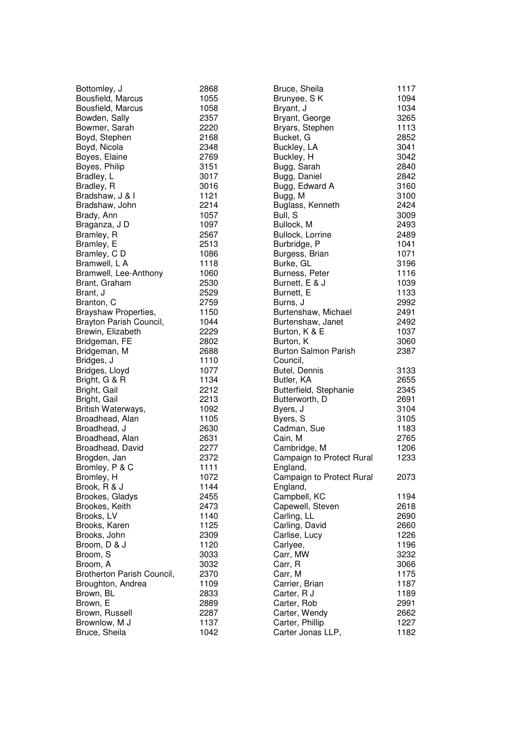| Bottomley, J               | 2868         | Bruce, Sheila               | 1117 |
|----------------------------|--------------|-----------------------------|------|
| Bousfield, Marcus          | 1055         | Brunyee, SK                 | 1094 |
| Bousfield, Marcus          | 1058         | Bryant, J                   | 1034 |
| Bowden, Sally              | 2357         | Bryant, George              | 3265 |
| Bowmer, Sarah              | 2220         | Bryars, Stephen             | 1113 |
| Boyd, Stephen              | 2168         | Bucket, G                   | 2852 |
| Boyd, Nicola               | 2348         | Buckley, LA                 | 3041 |
| Boyes, Elaine              | 2769         | Buckley, H                  | 3042 |
| Boyes, Philip              | 3151         | Bugg, Sarah                 | 2840 |
| Bradley, L                 | 3017         | Bugg, Daniel                | 2842 |
| Bradley, R                 | 3016         | Bugg, Edward A              | 3160 |
| Bradshaw, J & I            | 1121         | Bugg, M                     | 3100 |
| Bradshaw, John             | 2214         | Buglass, Kenneth            | 2424 |
| Brady, Ann                 | 1057         | Bull, S                     | 3009 |
| Braganza, J D              | 1097         | Bullock, M                  | 2493 |
| Bramley, R                 | 2567         | Bullock, Lorrine            | 2489 |
| Bramley, E                 | 2513         | Burbridge, P                | 1041 |
| Bramley, CD                | 1086         | Burgess, Brian              | 1071 |
| Bramwell, L A              | 1118         | Burke, GL                   | 3196 |
| Bramwell, Lee-Anthony      | 1060         | Burness, Peter              | 1116 |
| Brant, Graham              | 2530         | Burnett, E & J              | 1039 |
| Brant, J                   | 2529         | Burnett, E                  | 1133 |
| Branton, C                 | 2759         | Burns, J                    | 2992 |
| Brayshaw Properties,       | 1150         | Burtenshaw, Michael         | 2491 |
| Brayton Parish Council,    | 1044         | Burtenshaw, Janet           | 2492 |
| Brewin, Elizabeth          | 2229         | Burton, K & E               | 1037 |
| Bridgeman, FE              | 2802         | Burton, K                   | 3060 |
| Bridgeman, M               | 2688         | <b>Burton Salmon Parish</b> | 2387 |
| Bridges, J                 | 1110         | Council,                    |      |
| Bridges, Lloyd             | 1077         | Butel, Dennis               | 3133 |
| Bright, G & R              | 1134         | Butler, KA                  | 2655 |
| Bright, Gail               | 2212         | Butterfield, Stephanie      | 2345 |
| Bright, Gail               | 2213         | Butterworth, D              | 2691 |
| British Waterways,         | 1092         | Byers, J                    | 3104 |
| Broadhead, Alan            | 1105         | Byers, S                    | 3105 |
| Broadhead, J               | 2630         | Cadman, Sue                 | 1183 |
| Broadhead, Alan            | 2631         | Cain, M                     | 2765 |
| Broadhead, David           | 2277         | Cambridge, M                | 1206 |
| Brogden, Jan               | 2372         | Campaign to Protect Rural   | 1233 |
| Bromley, P & C             | 1111         | England,                    |      |
| Bromley, H                 | 1072         | Campaign to Protect Rural   | 2073 |
| Brook, R & J               | 1144         | England,                    |      |
| Brookes, Gladys            | 2455         | Campbell, KC                | 1194 |
| Brookes, Keith             | 2473         | Capewell, Steven            | 2618 |
| Brooks, LV                 | 1140         | Carling, LL                 | 2690 |
| Brooks, Karen              | 1125         | Carling, David              | 2660 |
| Brooks, John               | 2309         | Carlise, Lucy               | 1226 |
| Broom, D & J               | 1120         | Carlyee,                    | 1196 |
| Broom, S                   | 3033         | Carr, MW                    | 3232 |
| Broom, A                   | 3032         | Carr, R                     | 3066 |
| Brotherton Parish Council, | 2370         |                             | 1175 |
|                            |              | Carr, M                     |      |
| Broughton, Andrea          | 1109<br>2833 | Carrier, Brian              | 1187 |
| Brown, BL                  |              | Carter, R J                 | 1189 |
| Brown, E                   | 2889         | Carter, Rob                 | 2991 |
| Brown, Russell             | 2287         | Carter, Wendy               | 2662 |
| Brownlow, M J              | 1137         | Carter, Phillip             | 1227 |
| Bruce, Sheila              | 1042         | Carter Jonas LLP,           | 1182 |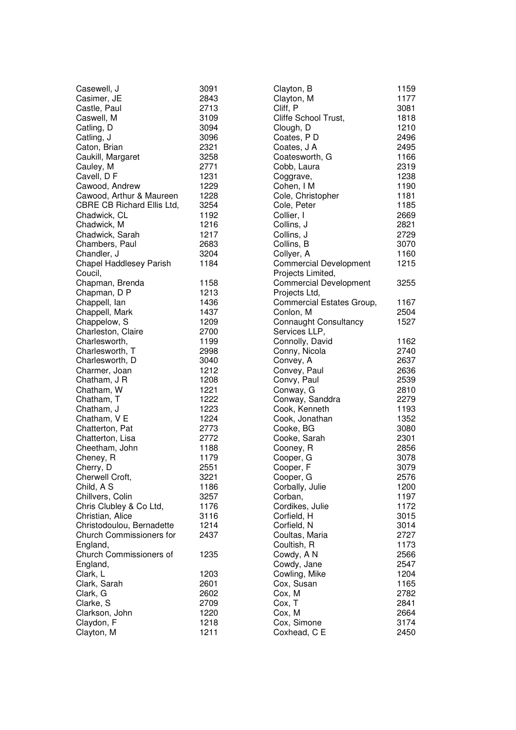| Casewell, J                     | 3091 |
|---------------------------------|------|
| Casimer, JE                     | 2843 |
| Castle, Paul                    | 2713 |
| Caswell, M                      | 3109 |
| Catling, D                      | 3094 |
| Catling, J                      | 3096 |
| Caton, Brian                    | 2321 |
| Caukill, Margaret               | 3258 |
| Cauley, M                       | 2771 |
|                                 |      |
| Cavell, DF                      | 1231 |
| Cawood, Andrew                  | 1229 |
| Cawood, Arthur & Maureen        | 1228 |
| CBRE CB Richard Ellis Ltd,      | 3254 |
| Chadwick, CL                    | 1192 |
| Chadwick, M                     | 1216 |
| Chadwick, Sarah                 | 1217 |
| Chambers, Paul                  | 2683 |
| Chandler, J                     | 3204 |
| <b>Chapel Haddlesey Parish</b>  | 1184 |
| Coucil,                         |      |
| Chapman, Brenda                 | 1158 |
| Chapman, D P                    | 1213 |
| Chappell, lan                   | 1436 |
|                                 |      |
| Chappell, Mark                  | 1437 |
| Chappelow, S                    | 1209 |
| Charleston, Claire              | 2700 |
| Charlesworth,                   | 1199 |
| Charlesworth, T                 | 2998 |
| Charlesworth, D                 | 3040 |
| Charmer, Joan                   | 1212 |
| Chatham, J R                    | 1208 |
| Chatham, W                      | 1221 |
| Chatham, T                      | 1222 |
| Chatham, J                      | 1223 |
| Chatham, V E                    | 1224 |
| Chatterton, Pat                 | 2773 |
| Chatterton, Lisa                | 2772 |
| Cheetham, John                  | 1188 |
| Cheney, R                       | 1179 |
|                                 |      |
| Cherry, D                       | 2551 |
| Cherwell Croft,                 | 3221 |
| Child, A S                      | 1186 |
| Chillvers, Colin                | 3257 |
| Chris Clubley & Co Ltd,         | 1176 |
| Christian, Alice                | 3116 |
| Christodoulou, Bernadette       | 1214 |
| <b>Church Commissioners for</b> | 2437 |
| England,                        |      |
| Church Commissioners of         | 1235 |
| England,                        |      |
| Clark, L                        | 1203 |
| Clark, Sarah                    | 2601 |
| Clark, G                        | 2602 |
| Clarke, S                       | 2709 |
| Clarkson, John                  | 1220 |
|                                 | 1218 |
| Claydon, F                      |      |
| Clayton, M                      | 1211 |

| Clayton, B                    | 1159         |
|-------------------------------|--------------|
| Clayton, M                    | 1177         |
| Cliff, P                      | 3081         |
| Cliffe School Trust,          | 1818         |
| Clough, D                     | 1210         |
| Coates, PD                    | 2496         |
| Coates, J A                   | 2495         |
| Coatesworth, G                | 1166         |
| Cobb, Laura                   | 2319         |
| Coggrave,                     | 1238         |
| Cohen, I M                    | 1190         |
| Cole, Christopher             | 1181         |
| Cole, Peter                   | 1185         |
| Collier, I                    | 2669         |
| Collins, J                    | 2821         |
| Collins, J                    | 2729         |
| Collins, B                    | 3070         |
| Collyer, A                    | 1160         |
| <b>Commercial Development</b> | 1215         |
| Projects Limited,             |              |
| <b>Commercial Development</b> | 3255         |
| Projects Ltd,                 |              |
| Commercial Estates Group,     | 1167         |
| Conlon, M                     | 2504         |
| <b>Connaught Consultancy</b>  | 1527         |
| Services LLP,                 |              |
| Connolly, David               | 1162         |
| Conny, Nicola                 | 2740         |
| Convey, A                     | 2637         |
| Convey, Paul                  | 2636         |
| Convy, Paul                   | 2539         |
| Conway, G                     | 2810         |
| Conway, Sanddra               | 2279         |
| Cook, Kenneth                 | 1193         |
| Cook, Jonathan                | 1352         |
| Cooke, BG                     | 3080         |
|                               | 2301         |
| Cooke, Sarah<br>Cooney, R     | 2856         |
| Cooper, G                     | 3078         |
| Cooper, F                     | 3079         |
| Cooper, G                     | 2576         |
|                               |              |
| Corbally, Julie<br>Corban,    | 1200         |
|                               | 1197<br>1172 |
| Cordikes, Julie               | 3015         |
| Corfield, H                   |              |
| Corfield, N                   | 3014         |
| Coultas, Maria<br>Coultish, R | 2727         |
|                               | 1173         |
| Cowdy, A N                    | 2566         |
| Cowdy, Jane                   | 2547         |
| Cowling, Mike                 | 1204         |
| Cox, Susan                    | 1165         |
| Cox, M                        | 2782         |
| Cox, T                        | 2841         |
| Cox, M                        | 2664         |
| Cox, Simone                   | 3174         |
| Coxhead, C E                  | 2450         |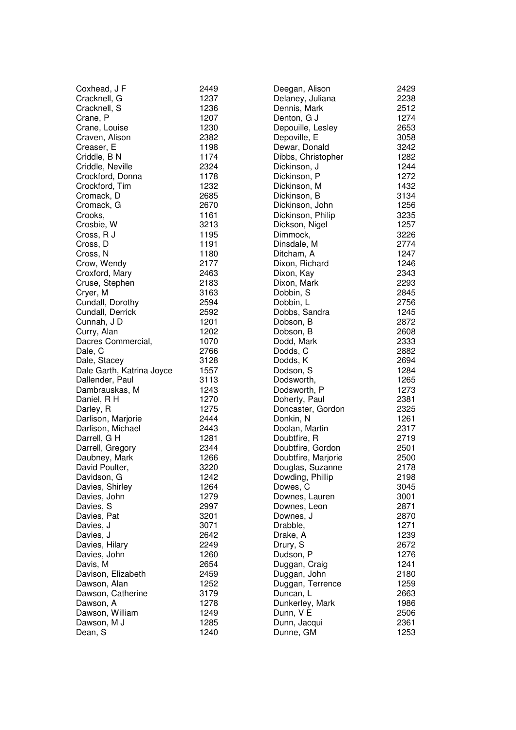| Coxhead, J F              | 2449 | Deegan, Alison      | $\overline{\mathbf{c}}$<br>$\overline{c}$ |
|---------------------------|------|---------------------|-------------------------------------------|
| Cracknell, G              | 1237 | Delaney, Juliana    |                                           |
| Cracknell, S              | 1236 | Dennis, Mark        | $\overline{c}$                            |
| Crane, P                  | 1207 | Denton, G J         | $\mathbf{1}$                              |
| Crane, Louise             | 1230 | Depouille, Lesley   | $\frac{2}{3}$                             |
| Craven, Alison            | 2382 | Depoville, E        |                                           |
| Creaser, E                | 1198 | Dewar, Donald       | 3                                         |
| Criddle, B N              | 1174 | Dibbs, Christopher  | $\mathbf{1}$                              |
| Criddle, Neville          | 2324 | Dickinson, J        | $\mathbf{1}$                              |
| Crockford, Donna          | 1178 | Dickinson, P        | $\mathbf{1}$                              |
| Crockford, Tim            | 1232 | Dickinson, M        | $\mathbf{1}$                              |
| Cromack, D                | 2685 | Dickinson, B        | 3                                         |
| Cromack, G                | 2670 | Dickinson, John     | $\mathbf{1}$                              |
| Crooks,                   | 1161 | Dickinson, Philip   | 3                                         |
| Crosbie, W                | 3213 | Dickson, Nigel      | $\mathbf{1}$                              |
| Cross, R J                | 1195 | Dimmock,            | $\frac{3}{2}$                             |
| Cross, D                  | 1191 | Dinsdale, M         |                                           |
| Cross, N                  | 1180 | Ditcham, A          | $\mathbf{1}$                              |
| Crow, Wendy               | 2177 | Dixon, Richard      | $\mathbf{1}$                              |
| Croxford, Mary            | 2463 | Dixon, Kay          | 2<br>2<br>2<br>2<br>2                     |
| Cruse, Stephen            | 2183 | Dixon, Mark         |                                           |
| Cryer, M                  | 3163 | Dobbin, S           |                                           |
| Cundall, Dorothy          | 2594 | Dobbin, L           |                                           |
| Cundall, Derrick          | 2592 | Dobbs, Sandra       | $\mathbf{1}$                              |
| Cunnah, J D               | 1201 | Dobson, B           | $\overline{c}$                            |
| Curry, Alan               | 1202 | Dobson, B           | $\overline{c}$                            |
| Dacres Commercial,        | 1070 | Dodd, Mark          |                                           |
| Dale, C                   | 2766 | Dodds, C            | $\begin{array}{c}\n 2 \\ 2\n \end{array}$ |
| Dale, Stacey              | 3128 | Dodds, K            |                                           |
| Dale Garth, Katrina Joyce | 1557 | Dodson, S           | $\mathbf{1}$                              |
| Dallender, Paul           | 3113 | Dodsworth,          | $\mathbf{1}$                              |
| Dambrauskas, M            | 1243 | Dodsworth, P        | $\mathbf{1}$                              |
| Daniel, R H               | 1270 | Doherty, Paul       | $\overline{c}$                            |
| Darley, R                 | 1275 | Doncaster, Gordon   | $\overline{c}$                            |
| Darlison, Marjorie        | 2444 | Donkin, N           | $\mathbf{1}$                              |
| Darlison, Michael         | 2443 | Doolan, Martin      | $\overline{\mathbf{c}}$                   |
| Darrell, G H              | 1281 | Doubtfire, R        | $\overline{c}$                            |
| Darrell, Gregory          | 2344 | Doubtfire, Gordon   | $\overline{c}$                            |
| Daubney, Mark             | 1266 | Doubtfire, Marjorie | $\overline{c}$                            |
| David Poulter,            | 3220 | Douglas, Suzanne    | $\overline{c}$                            |
| Davidson, G               | 1242 | Dowding, Phillip    | $\overline{c}$                            |
| Davies, Shirley           | 1264 | Dowes, C            | 3                                         |
| Davies, John              | 1279 | Downes, Lauren      | 3                                         |
| Davies, S                 | 2997 | Downes, Leon        | $\overline{c}$                            |
| Davies, Pat               | 3201 | Downes, J           | $\overline{c}$                            |
| Davies, J                 | 3071 | Drabble,            | $\mathbf{1}$                              |
| Davies, J                 | 2642 | Drake, A            | $\mathbf{1}$                              |
| Davies, Hilary            | 2249 | Drury, S            | $\overline{c}$                            |
| Davies, John              | 1260 | Dudson, P           | $\mathbf{1}$                              |
| Davis, M                  | 2654 | Duggan, Craig       | 1                                         |
| Davison, Elizabeth        | 2459 | Duggan, John        | $\overline{c}$                            |
| Dawson, Alan              | 1252 | Duggan, Terrence    | $\mathbf{1}$                              |
| Dawson, Catherine         | 3179 | Duncan, L           | $\overline{c}$                            |
| Dawson, A                 | 1278 | Dunkerley, Mark     | $\mathbf{1}$                              |
| Dawson, William           | 1249 | Dunn, V E           | $\overline{c}$                            |
| Dawson, M J               | 1285 | Dunn, Jacqui        | $\overline{c}$                            |
| Dean, S                   | 1240 | Dunne, GM           | 1                                         |
|                           |      |                     |                                           |

2 2 3 8

2 5 1 2

1 2 7 4

2 6 5 3

3 0 5 8

3 2 4 2

1 2 8 2

1 2 4 4

1 2 7 2

1 4 3 2

3 1 3 4

1 2 5 6

3 2 3 5

3 2 2 6

2 7 7 4

1 2 4 7

1 2 4 6

2 3 4 3

2293

2 8 4 5

2 7 5 6

1 2 4 5

2 8 7 2

2 6 0 8

2 3 3 3

2 8 8 2

2 6 9 4

1 2 8 4

1 2 6 5

1 2 7 3

2 3 2 5

1 2 6 1

2 3 1 7

2 7 1 9

2 5 0 1

2 5 0 0

2 1 7 8

2 1 9 8

3 0 4 5

3 0 0 1

2 8 7 1

2 8 7 0

1 2 7 1

1 2 3 9

2 6 7 2

1 2 7 6

1 2 4 1

2 1 8 0

1 2 5 9

2 6 6 3

1 9 8 6

2 5 0 6

1 2 5 3

3 6 1

3 8 1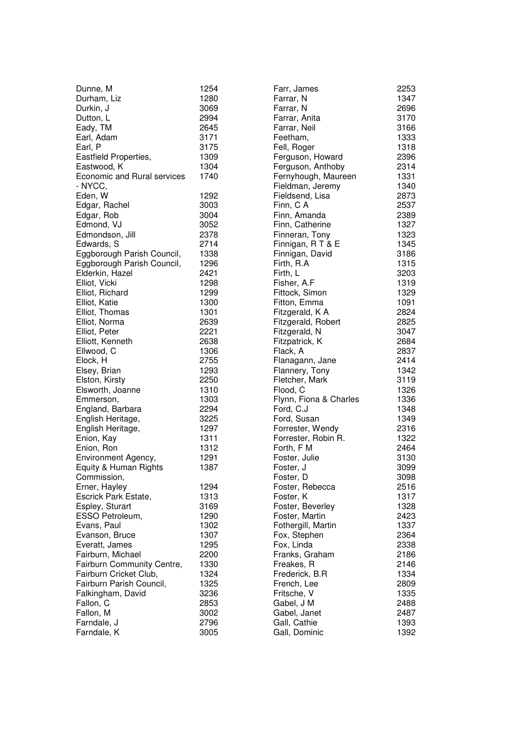| Dunne, M<br>Durham, Liz<br>Durkin, J<br>Dutton, L<br>Eady, TM<br>Earl, Adam<br>Earl, P<br>Eastfield Properties,<br>Eastwood, K<br>Economic and Rural services<br>- NYCC,                                                                                                                                                                                                                                                                                                                                                                 | 1254<br>1280<br>3069<br>2994<br>2645<br>3171<br>3175<br>1309<br>1304<br>1740                                                                                                                                                         |
|------------------------------------------------------------------------------------------------------------------------------------------------------------------------------------------------------------------------------------------------------------------------------------------------------------------------------------------------------------------------------------------------------------------------------------------------------------------------------------------------------------------------------------------|--------------------------------------------------------------------------------------------------------------------------------------------------------------------------------------------------------------------------------------|
| Eden, W<br>Edgar, Rachel<br>Edgar, Rob<br>Edmond, VJ<br>Edmondson, Jill<br>Edwards, S<br>Eggborough Parish Council,<br>Eggborough Parish Council,<br>Elderkin, Hazel<br>Elliot, Vicki<br>Elliot, Richard<br>Elliot, Katie<br>Elliot, Thomas<br>Elliot, Norma<br>Elliot, Peter<br>Elliott, Kenneth<br>Ellwood, C<br>Elock, H<br>Elsey, Brian<br>Elston, Kirsty<br>Elsworth, Joanne<br>Emmerson,<br>England, Barbara<br>English Heritage,<br>English Heritage,<br>Enion, Kay<br>Enion, Ron<br>Environment Agency,<br>Equity & Human Rights | 1292<br>3003<br>3004<br>3052<br>2378<br>2714<br>1338<br>1296<br>2421<br>1298<br>1299<br>1300<br>1301<br>2639<br>2221<br>2638<br>1306<br>2755<br>1293<br>2250<br>1310<br>1303<br>2294<br>3225<br>1297<br>1311<br>1312<br>1291<br>1387 |
| Commission,<br>Erner, Hayley<br>Escrick Park Estate,<br>Espley, Sturart<br>ESSO Petroleum,<br>Evans, Paul<br>Evanson, Bruce<br>Everatt, James<br>Fairburn, Michael<br>Fairburn Community Centre,<br>Fairburn Cricket Club,<br>Fairburn Parish Council,<br>Falkingham, David<br>Fallon, C<br>Fallon, M<br>Farndale, J<br>Farndale, K                                                                                                                                                                                                      | 1294<br>1313<br>3169<br>1290<br>1302<br>1307<br>1295<br>2200<br>1330<br>1324<br>1325<br>3236<br>2853<br>3002<br>2796<br>3005                                                                                                         |

| Farr, James            | 2253 |
|------------------------|------|
| Farrar, N              | 1347 |
| Farrar, N              | 2696 |
| Farrar, Anita          | 3170 |
| Farrar, Neil           | 3166 |
| Feetham,               | 1333 |
| Fell, Roger            | 1318 |
| Ferguson, Howard       | 2396 |
| Ferguson, Anthoby      | 2314 |
| Fernyhough, Maureen    | 1331 |
| Fieldman, Jeremy       | 1340 |
| Fieldsend, Lisa        | 2873 |
| Finn, C A              | 2537 |
| Finn, Amanda           | 2389 |
| Finn, Catherine        | 1327 |
| Finneran, Tony         | 1323 |
| Finnigan, R T & E      | 1345 |
| Finnigan, David        | 3186 |
| Firth, R.A             | 1315 |
| Firth, L               | 3203 |
| Fisher, A.F            | 1319 |
| Fittock, Simon         | 1329 |
| Fitton, Emma           | 1091 |
| Fitzgerald, K A        | 2824 |
| Fitzgerald, Robert     | 2825 |
| Fitzgerald, N          | 3047 |
| Fitzpatrick, K         | 2684 |
| Flack, A               | 2837 |
| Flanagann, Jane        | 2414 |
| Flannery, Tony         | 1342 |
| Fletcher, Mark         | 3119 |
| Flood, C               | 1326 |
| Flynn, Fiona & Charles | 1336 |
| Ford, C.J              | 1348 |
| Ford, Susan            | 1349 |
| Forrester, Wendy       | 2316 |
| Forrester, Robin R.    | 1322 |
| Forth, F M             | 2464 |
| Foster, Julie          | 3130 |
| Foster, J              | 3099 |
| Foster, D              | 3098 |
| Foster, Rebecca        | 2516 |
| Foster, K              | 1317 |
| Foster, Beverley       | 1328 |
| Foster, Martin         | 2423 |
| Fothergill, Martin     | 1337 |
| Fox, Stephen           | 2364 |
| Fox, Linda             | 2338 |
| Franks, Graham         | 2186 |
| Freakes, R             | 2146 |
| Frederick, B.R         | 1334 |
| French, Lee            | 2809 |
| Fritsche, V            | 1335 |
| Gabel, J M             | 2488 |
| Gabel, Janet           | 2487 |
| Gall, Cathie           | 1393 |
| Gall, Dominic          | 1392 |
|                        |      |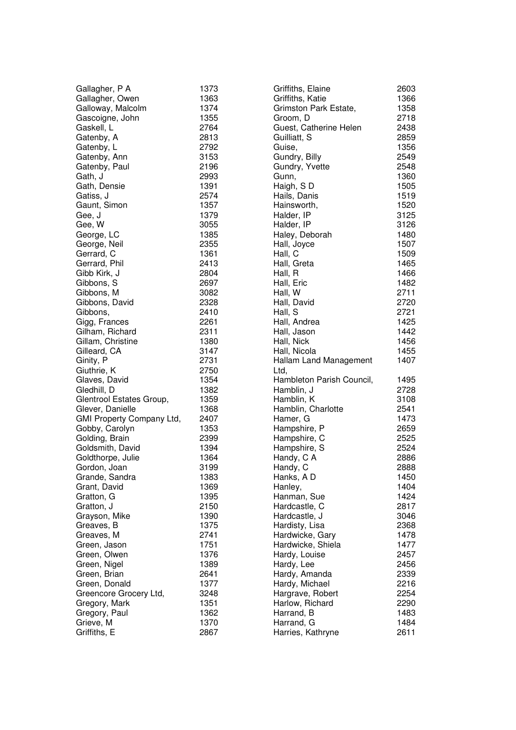| Gallagher, P A            | 1373 | Griffiths, Elaine         | $\overline{c}$                            |
|---------------------------|------|---------------------------|-------------------------------------------|
| Gallagher, Owen           | 1363 | Griffiths, Katie          | $\mathbf{1}$                              |
| Galloway, Malcolm         | 1374 | Grimston Park Estate,     | $\mathbf{1}$                              |
| Gascoigne, John           | 1355 | Groom, D                  | $\overline{\mathbf{c}}$                   |
| Gaskell, L                | 2764 | Guest, Catherine Helen    | $\overline{c}$                            |
| Gatenby, A                | 2813 | Guilliatt, S              | $\overline{c}$                            |
| Gatenby, L                | 2792 | Guise,                    | $\mathbf{1}$                              |
| Gatenby, Ann              | 3153 | Gundry, Billy             | $\frac{2}{2}$                             |
| Gatenby, Paul             | 2196 | Gundry, Yvette            |                                           |
| Gath, J                   | 2993 | Gunn,                     | $\mathbf{1}$                              |
| Gath, Densie              | 1391 | Haigh, SD                 | $\mathbf{1}$                              |
| Gatiss, J                 | 2574 | Hails, Danis              | $\mathbf{1}$                              |
| Gaunt, Simon              | 1357 | Hainsworth,               | $\mathbf{1}$                              |
| Gee, J                    | 1379 | Halder, IP                | $\frac{3}{3}$                             |
| Gee, W                    | 3055 | Halder, IP                |                                           |
| George, LC                | 1385 | Haley, Deborah            | $\mathbf{1}$                              |
| George, Neil              | 2355 | Hall, Joyce               | $\mathbf{1}$                              |
| Gerrard, C                | 1361 | Hall, C                   | $\mathbf{1}$                              |
| Gerrard, Phil             | 2413 | Hall, Greta               | $\mathbf{1}$                              |
| Gibb Kirk, J              | 2804 | Hall, R                   | $\mathbf{1}$                              |
| Gibbons, S                | 2697 | Hall, Eric                | $\mathbf{1}$                              |
| Gibbons, M                | 3082 | Hall, W                   | $\overline{c}$                            |
| Gibbons, David            | 2328 | Hall, David               | $\overline{c}$                            |
| Gibbons,                  | 2410 | Hall, S                   | $\overline{c}$                            |
| Gigg, Frances             | 2261 | Hall, Andrea              | $\mathbf{1}$                              |
| Gilham, Richard           | 2311 | Hall, Jason               | $\mathbf{1}$                              |
| Gillam, Christine         | 1380 | Hall, Nick                | $\mathbf{1}$                              |
| Gilleard, CA              | 3147 | Hall, Nicola              | $\mathbf{1}$                              |
| Ginity, P                 | 2731 | Hallam Land Management    | $\mathbf{1}$                              |
| Giuthrie, K               | 2750 | Ltd,                      |                                           |
| Glaves, David             | 1354 | Hambleton Parish Council, | 1                                         |
| Gledhill, D               | 1382 | Hamblin, J                | $\overline{c}$                            |
| Glentrool Estates Group,  | 1359 | Hamblin, K                | 3                                         |
| Glever, Danielle          | 1368 | Hamblin, Charlotte        | $\overline{c}$                            |
| GMI Property Company Ltd, | 2407 | Hamer, G                  | $\mathbf{1}$                              |
| Gobby, Carolyn            | 1353 | Hampshire, P              |                                           |
| Golding, Brain            | 2399 | Hampshire, C              |                                           |
| Goldsmith, David          | 1394 | Hampshire, S              | $\begin{array}{c}\n 2 \\ 2\n \end{array}$ |
| Goldthorpe, Julie         | 1364 | Handy, C A                | $\overline{c}$                            |
| Gordon, Joan              | 3199 | Handy, C                  | $\overline{c}$                            |
| Grande, Sandra            | 1383 | Hanks, AD                 | 1                                         |
| Grant, David              | 1369 | Hanley,                   | 1                                         |
| Gratton, G                | 1395 | Hanman, Sue               | 1                                         |
| Gratton, J                | 2150 | Hardcastle, C             |                                           |
| Grayson, Mike             | 1390 | Hardcastle, J             | $\frac{2}{3}$                             |
| Greaves, B                | 1375 | Hardisty, Lisa            | $\overline{c}$                            |
| Greaves, M                | 2741 | Hardwicke, Gary           | $\mathbf{1}$                              |
| Green, Jason              | 1751 | Hardwicke, Shiela         | $\mathbf{1}$                              |
| Green, Olwen              | 1376 | Hardy, Louise             | $\overline{\mathbf{c}}$                   |
| Green, Nigel              | 1389 | Hardy, Lee                | $\overline{\mathbf{c}}$                   |
| Green, Brian              | 2641 |                           | $\overline{c}$                            |
|                           |      | Hardy, Amanda             | $\overline{c}$                            |
| Green, Donald             | 1377 | Hardy, Michael            | $\overline{c}$                            |
| Greencore Grocery Ltd,    | 3248 | Hargrave, Robert          |                                           |
| Gregory, Mark             | 1351 | Harlow, Richard           | $\overline{c}$                            |
| Gregory, Paul             | 1362 | Harrand, B                | $\mathbf{1}$                              |
| Grieve, M                 | 1370 | Harrand, G                | $\mathbf{1}$                              |
| Griffiths, E              | 2867 | Harries, Kathryne         | $\overline{c}$                            |

1 3 6 6

1 3 5 8

2 7 1 8

2 4 3 8

2 8 5 9

1 3 5 6

2 5 4 9

2 5 4 8

1 3 6 0

1 5 0 5

1 5 1 9

1 5 2 0

3 1 2 5

3 1 2 6

1 4 8 0

1 5 0 7

1 5 0 9

1 4 6 5

1 4 6 6

1 4 8 2

2 7 1 1

2 7 2 0

2 7 2 1

1 4 2 5

1 4 4 2

1 4 5 6

1 4 5 5

1 4 0 7

1 4 9 5

2 7 2 8

3 1 0 8

2 5 4 1

1 4 7 3

2 6 5 9

2 5 2 5

2 5 2 4

2 8 8 6

2 8 8 8

1 4 5 0

1 4 0 4

1 4 2 4

2 8 1 7

3 0 4 6

2 3 6 8

1 4 7 8

1 4 7 7

2 4 5 7

2 4 5 6

2 3 3 9

2 2 5 4

2 2 9 0

1 4 8 3

1 4 8 4

2 6 1 1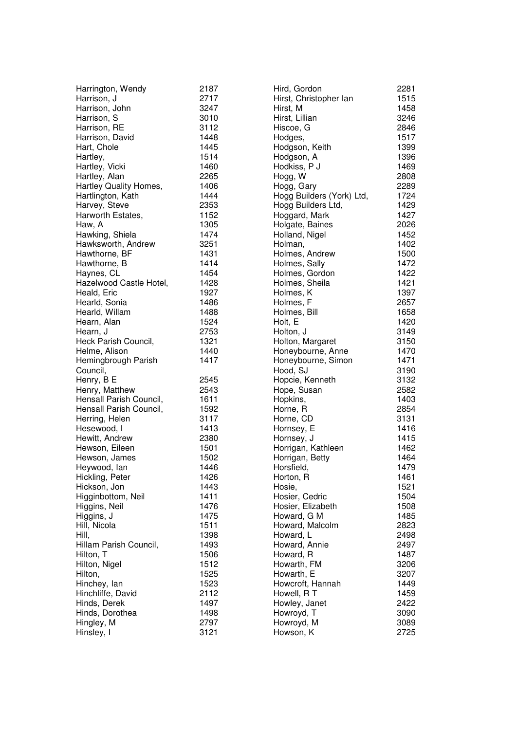| Harrington, Wendy                                                                                                                                                                                                                                                                                                                                                                                                                                                                            | 2187                                                                                                                                                                                                                 |
|----------------------------------------------------------------------------------------------------------------------------------------------------------------------------------------------------------------------------------------------------------------------------------------------------------------------------------------------------------------------------------------------------------------------------------------------------------------------------------------------|----------------------------------------------------------------------------------------------------------------------------------------------------------------------------------------------------------------------|
| Harrison, J                                                                                                                                                                                                                                                                                                                                                                                                                                                                                  | 2717                                                                                                                                                                                                                 |
| Harrison, John                                                                                                                                                                                                                                                                                                                                                                                                                                                                               | 3247                                                                                                                                                                                                                 |
| Harrison, S                                                                                                                                                                                                                                                                                                                                                                                                                                                                                  | 3010                                                                                                                                                                                                                 |
| Harrison, RE                                                                                                                                                                                                                                                                                                                                                                                                                                                                                 | 3112                                                                                                                                                                                                                 |
| Harrison, David                                                                                                                                                                                                                                                                                                                                                                                                                                                                              | 1448                                                                                                                                                                                                                 |
| Hart, Chole                                                                                                                                                                                                                                                                                                                                                                                                                                                                                  | 1445                                                                                                                                                                                                                 |
| Hartley,                                                                                                                                                                                                                                                                                                                                                                                                                                                                                     | 1514                                                                                                                                                                                                                 |
| Hartley, Vicki                                                                                                                                                                                                                                                                                                                                                                                                                                                                               | 1460                                                                                                                                                                                                                 |
| Hartley, Alan                                                                                                                                                                                                                                                                                                                                                                                                                                                                                | 2265                                                                                                                                                                                                                 |
| Hartley Quality Homes,                                                                                                                                                                                                                                                                                                                                                                                                                                                                       | 1406                                                                                                                                                                                                                 |
| Hartlington, Kath                                                                                                                                                                                                                                                                                                                                                                                                                                                                            | 1444                                                                                                                                                                                                                 |
| Harvey, Steve                                                                                                                                                                                                                                                                                                                                                                                                                                                                                | 2353                                                                                                                                                                                                                 |
| Harworth Estates,                                                                                                                                                                                                                                                                                                                                                                                                                                                                            | 1152                                                                                                                                                                                                                 |
| Haw, A                                                                                                                                                                                                                                                                                                                                                                                                                                                                                       | 1305                                                                                                                                                                                                                 |
| Hawking, Shiela                                                                                                                                                                                                                                                                                                                                                                                                                                                                              | 1474                                                                                                                                                                                                                 |
| Hawksworth, Andrew                                                                                                                                                                                                                                                                                                                                                                                                                                                                           | 3251                                                                                                                                                                                                                 |
| Hawthorne, BF                                                                                                                                                                                                                                                                                                                                                                                                                                                                                | 1431                                                                                                                                                                                                                 |
| Hawthorne, B                                                                                                                                                                                                                                                                                                                                                                                                                                                                                 | 1414                                                                                                                                                                                                                 |
| Haynes, CL                                                                                                                                                                                                                                                                                                                                                                                                                                                                                   | 1454                                                                                                                                                                                                                 |
| Hazelwood Castle Hotel,                                                                                                                                                                                                                                                                                                                                                                                                                                                                      | 1428                                                                                                                                                                                                                 |
| Heald, Eric                                                                                                                                                                                                                                                                                                                                                                                                                                                                                  | 1927                                                                                                                                                                                                                 |
| Hearld, Sonia                                                                                                                                                                                                                                                                                                                                                                                                                                                                                | 1486                                                                                                                                                                                                                 |
| Hearld, Willam                                                                                                                                                                                                                                                                                                                                                                                                                                                                               | 1488                                                                                                                                                                                                                 |
| Hearn, Alan                                                                                                                                                                                                                                                                                                                                                                                                                                                                                  | 1524                                                                                                                                                                                                                 |
| Hearn, J                                                                                                                                                                                                                                                                                                                                                                                                                                                                                     | 2753                                                                                                                                                                                                                 |
| Heck Parish Council,                                                                                                                                                                                                                                                                                                                                                                                                                                                                         | 1321                                                                                                                                                                                                                 |
| Helme, Alison                                                                                                                                                                                                                                                                                                                                                                                                                                                                                | 1440                                                                                                                                                                                                                 |
| Hemingbrough Parish                                                                                                                                                                                                                                                                                                                                                                                                                                                                          | 1417                                                                                                                                                                                                                 |
| Council,<br>Henry, B E<br>Henry, Matthew<br>Hensall Parish Council,<br>Hensall Parish Council,<br>Herring, Helen<br>Hesewood, I<br>Hewitt, Andrew<br>Hewson, Eileen<br>Hewson, James<br>Heywood, lan<br>Hickling, Peter<br>Hickson, Jon<br>Higginbottom, Neil<br>Higgins, Neil<br>Higgins, J<br>Hill, Nicola<br>Hill,<br>Hillam Parish Council,<br>Hilton, T<br>Hilton, Nigel<br>Hilton,<br>Hinchey, lan<br>Hinchliffe, David<br>Hinds, Derek<br>Hinds, Dorothea<br>Hingley, M<br>Hinsley, I | 2545<br>2543<br>1611<br>1592<br>3117<br>1413<br>2380<br>1501<br>1502<br>1446<br>1426<br>1443<br>1411<br>1476<br>1475<br>1511<br>1398<br>1493<br>1506<br>1512<br>1525<br>1523<br>2112<br>1497<br>1498<br>2797<br>3121 |

| Hird, Gordon                 | 2281         |
|------------------------------|--------------|
| Hirst, Christopher lan       | 1515         |
| Hirst, M                     | 1458         |
| Hirst, Lillian               | 3246         |
| Hiscoe, G                    | 2846         |
| Hodges,                      | 1517         |
| Hodgson, Keith               | 1399         |
| Hodgson, A                   | 1396         |
| Hodkiss, P J                 | 1469         |
| Hogg, W                      | 2808         |
| Hogg, Gary                   | 2289         |
| Hogg Builders (York) Ltd,    | 1724         |
| Hogg Builders Ltd,           | 1429         |
| Hoggard, Mark                | 1427         |
| Holgate, Baines              | 2026         |
| Holland, Nigel               | 1452         |
| Holman,                      | 1402         |
| Holmes, Andrew               | 1500         |
| Holmes, Sally                | 1472         |
| Holmes, Gordon               | 1422         |
| Holmes, Sheila               | 1421         |
| Holmes, K                    | 1397         |
| Holmes, F                    | 2657         |
| Holmes, Bill                 | 1658         |
| Holt, E                      | 1420         |
| Holton, J                    | 3149         |
| Holton, Margaret             | 3150         |
| Honeybourne, Anne            | 1470         |
| Honeybourne, Simon           | 1471         |
| Hood, SJ                     | 3190         |
| Hopcie, Kenneth              | 3132         |
| Hope, Susan                  | 2582         |
| Hopkins,                     | 1403         |
| Horne, R                     | 2854         |
| Horne, CD                    | 3131         |
| Hornsey, E                   | 1416         |
| Hornsey, J                   | 1415         |
| Horrigan, Kathleen           | 1462         |
| Horrigan, Betty              | 1464         |
| Horsfield,                   | 1479         |
| Horton, R                    | 1461         |
| Hosie,                       | 1521         |
| Hosier, Cedric               | 1504         |
| Hosier, Elizabeth            | 1508         |
| Howard, G M                  | 1485         |
| Howard, Malcolm              | 2823         |
| Howard, L                    | 2498         |
| Howard, Annie                | 2497         |
| Howard, R                    | 1487         |
| Howarth, FM                  | 3206         |
| Howarth, E                   | 3207<br>1449 |
| Howcroft, Hannah             | 1459         |
| Howell, R T<br>Howley, Janet | 2422         |
| Howroyd, T                   | 3090         |
| Howroyd, M                   | 3089         |
| Howson, K                    | 2725         |
|                              |              |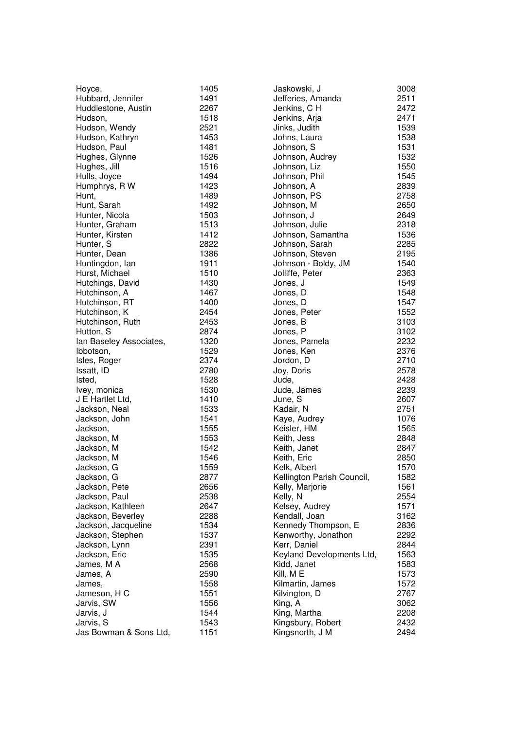| Hoyce,                  | 1                              |
|-------------------------|--------------------------------|
| Hubbard, Jennifer       | 1                              |
| Huddlestone, Austin     | $\overline{c}$                 |
| Hudson,                 | $\mathbf{1}$                   |
| Hudson, Wendy           | $\overline{c}$                 |
| Hudson, Kathryn         | $\mathbf{1}$                   |
| Hudson, Paul            | 1                              |
| Hughes, Glynne          | $\mathbf{1}$                   |
|                         | 1                              |
| Hughes, Jill            |                                |
| Hulls, Joyce            | 1                              |
| Humphrys, R W           | 1                              |
| Hunt,                   | $\mathbf{1}$                   |
| Hunt, Sarah             | 1                              |
| Hunter, Nicola          | 1                              |
| Hunter, Graham          | $\mathbf{1}$                   |
| Hunter, Kirsten         | $\mathbf{1}$                   |
| Hunter, S               | $\overline{c}$                 |
| Hunter, Dean            | 1                              |
| Huntingdon, lan         | 1                              |
| Hurst, Michael          | 1                              |
| Hutchings, David        | 1                              |
| Hutchinson, A           | 1                              |
| Hutchinson, RT          | $\mathbf{1}$                   |
| Hutchinson, K           |                                |
| Hutchinson, Ruth        |                                |
| Hutton, S               | $222$<br>$1$                   |
|                         |                                |
| Ian Baseley Associates, | $\mathbf{1}$                   |
| Ibbotson,               | $\overline{c}$                 |
| Isles, Roger            |                                |
| Issatt, ID              | $\overline{c}$<br>$\mathbf{1}$ |
| Isted,                  |                                |
| Ivey, monica            | 1                              |
| J E Hartlet Ltd,        | 1                              |
| Jackson, Neal           | 1                              |
| Jackson, John           | 1                              |
| Jackson,                | 1                              |
| Jackson, M              | 1                              |
| Jackson, M              | $\mathbf{1}$                   |
| Jackson, M              | 1                              |
| Jackson, G              | 1                              |
| Jackson, G              | $\overline{\mathbf{c}}$        |
| Jackson, Pete           |                                |
| Jackson, Paul           |                                |
| Jackson, Kathleen       |                                |
| Jackson, Beverley       |                                |
| Jackson, Jacqueline     |                                |
| Jackson, Stephen        |                                |
| Jackson, Lynn           |                                |
| Jackson, Eric           |                                |
| James, M A              |                                |
| James, A                |                                |
| James,                  | 22221121221                    |
| Jameson, H C            | $\mathbf{1}$                   |
| Jarvis, SW              | $\mathbf{1}$                   |
| Jarvis, J               | $\mathbf{1}$                   |
| Jarvis, S               | 1                              |
|                         | 1                              |
| Jas Bowman & Sons Ltd,  |                                |

1 4 9 1

2 2 6 7

1 5 1 8

2 5 2 1

1 4 5 3

1 5 2 6

1 4 9 4

1 4 2 3

1 4 8 9

1 4 9 2

1 5 0 3

1 5 1 3

1 4 1 2

2 8 2 2

1 3 8 6

1 9 1 1

1 4 3 0

1 4 6 7

1 4 0 0

2 4 5 4

2 4 5 3

5 1 0

4 8 1

| Jaskowski, J               | 3008 |
|----------------------------|------|
| Jefferies, Amanda          | 2511 |
|                            |      |
| Jenkins, CH                | 2472 |
| Jenkins, Arja              | 2471 |
| Jinks, Judith              | 1539 |
| Johns, Laura               | 1538 |
| Johnson, S                 | 1531 |
| Johnson, Audrey            | 1532 |
| Johnson, Liz               | 1550 |
| Johnson, Phil              | 1545 |
| Johnson, A                 | 2839 |
| Johnson, PS                | 2758 |
| Johnson, M                 | 2650 |
| Johnson, J                 | 2649 |
|                            |      |
| Johnson, Julie             | 2318 |
| Johnson, Samantha          | 1536 |
| Johnson, Sarah             | 2285 |
| Johnson, Steven            | 2195 |
| Johnson - Boldy, JM        | 1540 |
| Jolliffe, Peter            | 2363 |
| Jones, J                   | 1549 |
| Jones, D                   | 1548 |
| Jones, D                   | 1547 |
| Jones, Peter               | 1552 |
| Jones, B                   | 3103 |
| Jones, P                   | 3102 |
| Jones, Pamela              | 2232 |
| Jones, Ken                 | 2376 |
| Jordon, D                  | 2710 |
|                            |      |
| Joy, Doris                 | 2578 |
| Jude,                      | 2428 |
| Jude, James                | 2239 |
| June, S                    | 2607 |
| Kadair, N                  | 2751 |
| Kaye, Audrey               | 1076 |
| Keisler, HM                | 1565 |
| Keith, Jess                | 2848 |
| Keith, Janet               | 2847 |
| Keith, Eric                | 2850 |
| Kelk, Albert               | 1570 |
| Kellington Parish Council, | 1582 |
| Kelly, Marjorie            | 1561 |
| Kelly, N                   | 2554 |
| Kelsey, Audrey             | 1571 |
| Kendall, Joan              | 3162 |
| Kennedy Thompson, E        | 2836 |
| Kenworthy, Jonathon        | 2292 |
|                            |      |
| Kerr, Daniel               | 2844 |
| Keyland Developments Ltd,  | 1563 |
| Kidd, Janet                | 1583 |
| Kill, ME                   | 1573 |
| Kilmartin, James           | 1572 |
| Kilvington, D              | 2767 |
| King, A                    | 3062 |
| King, Martha               | 2208 |
| Kingsbury, Robert          | 2432 |
| Kingsnorth, J M            | 2494 |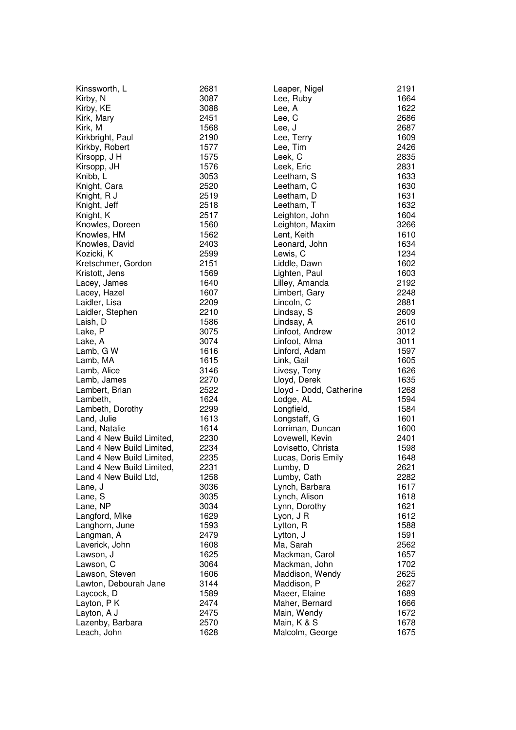| Kinssworth, L             | 2681 |
|---------------------------|------|
|                           |      |
| Kirby, N                  | 3087 |
| Kirby, KE                 | 3088 |
| Kirk, Mary                | 2451 |
|                           |      |
| Kirk, M                   | 1568 |
| Kirkbright, Paul          | 2190 |
| Kirkby, Robert            | 1577 |
|                           |      |
| Kirsopp, J H              | 1575 |
| Kirsopp, JH               | 1576 |
| Knibb, L                  | 3053 |
|                           |      |
| Knight, Cara              | 2520 |
| Knight, R J               | 2519 |
| Knight, Jeff              | 2518 |
|                           |      |
| Knight, K                 | 2517 |
| Knowles, Doreen           | 1560 |
| Knowles, HM               | 1562 |
|                           |      |
| Knowles, David            | 2403 |
| Kozicki, K                | 2599 |
| Kretschmer, Gordon        | 2151 |
|                           |      |
| Kristott, Jens            | 1569 |
| Lacey, James              | 1640 |
| Lacey, Hazel              | 1607 |
|                           |      |
| Laidler, Lisa             | 2209 |
| Laidler, Stephen          | 2210 |
| Laish, D                  | 1586 |
|                           |      |
| Lake, P                   | 3075 |
| Lake, A                   | 3074 |
| Lamb, G W                 | 1616 |
|                           | 1615 |
| Lamb, MA                  |      |
| Lamb, Alice               | 3146 |
| Lamb, James               | 2270 |
| Lambert, Brian            | 2522 |
|                           |      |
| Lambeth,                  | 1624 |
| Lambeth, Dorothy          | 2299 |
| Land, Julie               | 1613 |
|                           |      |
| Land, Natalie             | 1614 |
| Land 4 New Build Limited, | 2230 |
| Land 4 New Build Limited, | 2234 |
|                           |      |
| Land 4 New Build Limited, | 2235 |
| Land 4 New Build Limited. | 2231 |
| Land 4 New Build Ltd,     | 1258 |
|                           |      |
| Lane, J                   | 3036 |
| Lane, S                   | 3035 |
| Lane, NP                  | 3034 |
|                           | 1629 |
| Langford, Mike            |      |
| Langhorn, June            | 1593 |
| Langman, A                | 2479 |
| Laverick, John            | 1608 |
|                           |      |
| Lawson, J                 | 1625 |
| Lawson, C                 | 3064 |
| Lawson, Steven            | 1606 |
|                           |      |
| Lawton, Debourah Jane     | 3144 |
| Laycock, D                | 1589 |
| Layton, PK                | 2474 |
|                           |      |
| Layton, A J               | 2475 |
| Lazenby, Barbara          | 2570 |
| Leach, John               | 1628 |
|                           |      |

| Leaper, Nigel           | 2191 |
|-------------------------|------|
| Lee, Ruby               | 1664 |
| Lee, A                  | 1622 |
| Lee, C                  | 2686 |
| Lee, J                  | 2687 |
| Lee, Terry              | 1609 |
| Lee, Tim                | 2426 |
| Leek, C                 | 2835 |
| Leek, Eric              | 2831 |
| Leetham, S              | 1633 |
| Leetham, C              | 1630 |
| Leetham, D              | 1631 |
| Leetham, T              | 1632 |
| Leighton, John          | 1604 |
| Leighton, Maxim         | 3266 |
| Lent, Keith             | 1610 |
| Leonard, John           | 1634 |
| Lewis, C                | 1234 |
| Liddle, Dawn            | 1602 |
| Lighten, Paul           | 1603 |
| Lilley, Amanda          | 2192 |
| Limbert, Gary           | 2248 |
| Lincoln, C              | 2881 |
| Lindsay, S              | 2609 |
| Lindsay, A              | 2610 |
| Linfoot, Andrew         | 3012 |
| Linfoot, Alma           | 3011 |
| Linford, Adam           | 1597 |
| Link, Gail              | 1605 |
| Livesy, Tony            | 1626 |
| Lloyd, Derek            | 1635 |
| Lloyd - Dodd, Catherine | 1268 |
| Lodge, AL               | 1594 |
| Longfield,              | 1584 |
| Longstaff, G            | 1601 |
| Lorriman, Duncan        | 1600 |
| Lovewell, Kevin         | 2401 |
| Lovisetto, Christa      | 1598 |
| Lucas, Doris Emily      | 1648 |
| Lumby, D                | 2621 |
| Lumby, Cath             | 2282 |
| Lynch, Barbara          | 1617 |
| Lynch, Alison           | 1618 |
| Lynn, Dorothy           | 1621 |
| Lyon, J R               | 1612 |
| Lytton, R               | 1588 |
| Lytton, J               | 1591 |
| Ma, Sarah               | 2562 |
| Mackman, Carol          | 1657 |
| Mackman, John           | 1702 |
| Maddison, Wendy         | 2625 |
| Maddison, P             | 2627 |
| Maeer, Elaine           | 1689 |
| Maher, Bernard          | 1666 |
| Main, Wendy             | 1672 |
| Main, K & S             | 1678 |
| Malcolm, George         | 1675 |
|                         |      |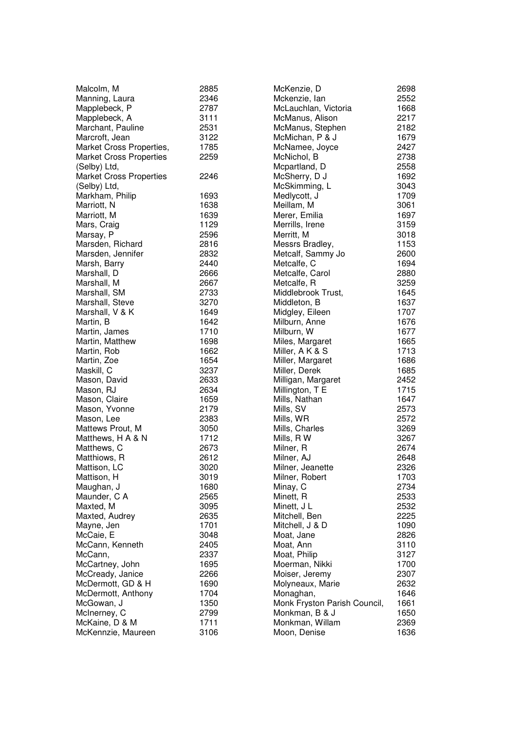| Malcolm, M                     | 2885 | McKenzie, D                  | $\overline{\mathbf{c}}$ |
|--------------------------------|------|------------------------------|-------------------------|
| Manning, Laura                 | 2346 | Mckenzie, lan                | $\overline{c}$          |
| Mapplebeck, P                  | 2787 | McLauchlan, Victoria         | $\mathbf{1}$            |
| Mapplebeck, A                  | 3111 | McManus, Alison              | $\overline{c}$          |
| Marchant, Pauline              | 2531 | McManus, Stephen             | $\overline{c}$          |
| Marcroft, Jean                 | 3122 | McMichan, P & J              | $\mathbf{1}$            |
| Market Cross Properties,       | 1785 | McNamee, Joyce               | $\overline{\mathbf{c}}$ |
| <b>Market Cross Properties</b> | 2259 | McNichol, B                  | $\overline{\mathbf{c}}$ |
| (Selby) Ltd,                   |      | Mcpartland, D                | $\overline{c}$          |
| <b>Market Cross Properties</b> | 2246 | McSherry, D J                | $\mathbf{1}$            |
| (Selby) Ltd,                   |      | McSkimming, L                | 3                       |
| Markham, Philip                | 1693 | Medlycott, J                 | $\mathbf{1}$            |
| Marriott, N                    | 1638 | Meillam, M                   | 3                       |
| Marriott, M                    | 1639 | Merer, Emilia                | $\mathbf{1}$            |
| Mars, Craig                    | 1129 | Merrills, Irene              |                         |
| Marsay, P                      | 2596 | Merritt, M                   | $\frac{3}{3}$           |
| Marsden, Richard               | 2816 | Messrs Bradley,              | $\mathbf{1}$            |
| Marsden, Jennifer              | 2832 | Metcalf, Sammy Jo            | $\overline{c}$          |
| Marsh, Barry                   | 2440 | Metcalfe, C                  | $\mathbf{1}$            |
| Marshall, D                    | 2666 | Metcalfe, Carol              | $\overline{c}$          |
| Marshall, M                    | 2667 | Metcalfe, R                  | 3                       |
| Marshall, SM                   | 2733 | Middlebrook Trust,           | $\mathbf{1}$            |
| Marshall, Steve                | 3270 | Middleton, B                 | $\mathbf{1}$            |
| Marshall, V & K                | 1649 | Midgley, Eileen              | $\mathbf{1}$            |
| Martin, B                      | 1642 | Milburn, Anne                | $\mathbf{1}$            |
| Martin, James                  | 1710 | Milburn, W                   | $\mathbf{1}$            |
| Martin, Matthew                | 1698 | Miles, Margaret              | $\mathbf{1}$            |
| Martin, Rob                    | 1662 | Miller, A K & S              | $\mathbf{1}$            |
| Martin, Zoe                    | 1654 | Miller, Margaret             | $\mathbf{1}$            |
| Maskill, C                     | 3237 | Miller, Derek                | $\mathbf{1}$            |
| Mason, David                   | 2633 | Milligan, Margaret           | $\overline{\mathbf{c}}$ |
| Mason, RJ                      | 2634 | Millington, T E              | $\mathbf{1}$            |
| Mason, Claire                  | 1659 | Mills, Nathan                | $\mathbf{1}$            |
| Mason, Yvonne                  | 2179 | Mills, SV                    | $\overline{c}$          |
| Mason, Lee                     | 2383 | Mills, WR                    | $\overline{c}$          |
| Mattews Prout, M               | 3050 | Mills, Charles               | 3                       |
| Matthews, H A & N              | 1712 | Mills, R W                   | 3                       |
| Matthews, C                    | 2673 | Milner, R                    | $\overline{c}$          |
| Matthiows, R                   | 2612 | Milner, AJ                   | $\overline{c}$          |
| Mattison, LC                   | 3020 | Milner, Jeanette             | $\overline{2}$          |
| Mattison, H                    | 3019 | Milner, Robert               | $\mathbf{1}$            |
| Maughan, J                     | 1680 | Minay, C                     | $\overline{\mathbf{c}}$ |
| Maunder, C A                   | 2565 | Minett, R                    | $\overline{\mathbf{c}}$ |
| Maxted, M                      | 3095 | Minett, J L                  |                         |
| Maxted, Audrey                 | 2635 | Mitchell, Ben                | $\frac{2}{2}$           |
| Mayne, Jen                     | 1701 | Mitchell, J & D              | $\mathbf{1}$            |
| McCaie, E                      | 3048 | Moat, Jane                   | $\overline{c}$          |
| McCann, Kenneth                | 2405 | Moat, Ann                    | 3                       |
| McCann,                        | 2337 | Moat, Philip                 | 3                       |
| McCartney, John                | 1695 | Moerman, Nikki               | $\mathbf{1}$            |
| McCready, Janice               | 2266 | Moiser, Jeremy               | $\overline{c}$          |
| McDermott, GD & H              | 1690 | Molyneaux, Marie             | $\overline{c}$          |
| McDermott, Anthony             | 1704 | Monaghan,                    | $\mathbf{1}$            |
| McGowan, J                     | 1350 | Monk Fryston Parish Council, | $\mathbf{1}$            |
| McInerney, C                   | 2799 | Monkman, B & J               | $\mathbf{1}$            |
| McKaine, D & M                 | 1711 | Monkman, Willam              | $\overline{c}$          |
| McKennzie, Maureen             | 3106 | Moon, Denise                 | $\mathbf{1}$            |
|                                |      |                              |                         |

2 5 5 2

1 6 6 8

2 2 1 7

2 1 8 2

1 6 7 9

2 4 2 7

2 7 3 8

2 5 5 8

1 6 9 2

3 0 4 3

1 7 0 9

3 0 6 1

1 6 9 7

3 1 5 9

3 0 1 8

1 1 5 3

2 6 0 0

1 6 9 4

3 2 5 9

1 6 4 5

1 6 3 7

1 7 0 7

1 6 7 6

1 6 7 7

1 6 6 5

1 7 1 3

1 6 8 6

1 6 8 5

2 4 5 2

1 7 1 5

1 6 4 7

2 5 7 3

2 5 7 2

3 2 6 9

3 2 6 7

2 6 7 4

2 6 4 8

2 3 2 6

1 7 0 3

2 7 3 4

2 5 3 3

2 5 3 2

2 2 2 5

1090

2 8 2 6

3 1 1 0

3 1 2 7

2 3 0 7

2 6 3 2

1 6 4 6

1 6 6 1

1 6 5 0

2 3 6 9

1 6 3 6

7 0 0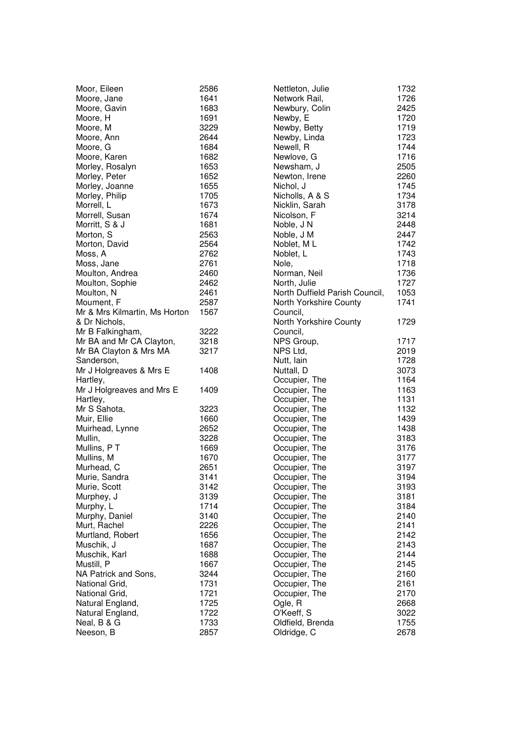| Moor, Eileen<br>Moore, Jane<br>Moore, Gavin<br>Moore, H<br>Moore, M<br>Moore, Ann<br>Moore, G<br>Moore, Karen<br>Morley, Rosalyn<br>Morley, Peter<br>Morley, Joanne<br>Morley, Philip<br>Morrell, L<br>Morrell, Susan<br>Morritt, S & J<br>Morton, S                                                                                                                                                            | 2586<br>1641<br>1683<br>1691<br>3229<br>2644<br>1684<br>1682<br>1653<br>1652<br>1655<br>1705<br>1673<br>1674<br>1681<br>2563                                                                 |
|-----------------------------------------------------------------------------------------------------------------------------------------------------------------------------------------------------------------------------------------------------------------------------------------------------------------------------------------------------------------------------------------------------------------|----------------------------------------------------------------------------------------------------------------------------------------------------------------------------------------------|
| Morton, David<br>Moss, A<br>Moss, Jane<br>Moulton, Andrea<br>Moulton, Sophie<br>Moulton, N<br>Moument, F<br>Mr & Mrs Kilmartin, Ms Horton                                                                                                                                                                                                                                                                       | 2564<br>2762<br>2761<br>2460<br>2462<br>2461<br>2587<br>1567                                                                                                                                 |
| & Dr Nichols,<br>Mr B Falkingham,<br>Mr BA and Mr CA Clayton,<br>Mr BA Clayton & Mrs MA<br>Sanderson,                                                                                                                                                                                                                                                                                                           | 3222<br>3218<br>3217                                                                                                                                                                         |
| Mr J Holgreaves & Mrs E                                                                                                                                                                                                                                                                                                                                                                                         | 1408                                                                                                                                                                                         |
| Hartley,<br>Mr J Holgreaves and Mrs E                                                                                                                                                                                                                                                                                                                                                                           | 1409                                                                                                                                                                                         |
| Hartley,<br>Mr S Sahota,<br>Muir, Ellie<br>Muirhead, Lynne<br>Mullin,<br>Mullins, PT<br>Mullins, M<br>Murhead, C<br>Murie, Sandra<br>Murie, Scott<br>Murphey, J<br>Murphy, L<br>Murphy, Daniel<br>Murt, Rachel<br>Murtland, Robert<br>Muschik, J<br>Muschik, Karl<br>Mustill, P<br>NA Patrick and Sons,<br>National Grid,<br>National Grid,<br>Natural England,<br>Natural England,<br>Neal, B & G<br>Neeson, B | 3223<br>1660<br>2652<br>3228<br>1669<br>1670<br>2651<br>3141<br>3142<br>3139<br>1714<br>3140<br>2226<br>1656<br>1687<br>1688<br>1667<br>3244<br>1731<br>1721<br>1725<br>1722<br>1733<br>2857 |

| Nettleton, Julie                                | 1732 |
|-------------------------------------------------|------|
| Network Rail,                                   | 1726 |
| Newbury, Colin                                  | 2425 |
| Newby, E                                        | 1720 |
| Newby, Betty                                    | 1719 |
| Newby, Linda                                    | 1723 |
| Newell, R                                       | 1744 |
| Newlove, G                                      | 1716 |
| Newsham, J                                      | 2505 |
| Newton, Irene                                   | 2260 |
| Nichol, J                                       | 1745 |
| Nicholls, A & S                                 | 1734 |
| Nicklin, Sarah                                  | 3178 |
| Nicolson, F                                     | 3214 |
| Noble, J N                                      | 2448 |
| Noble, J M                                      | 2447 |
| Noblet, ML                                      | 1742 |
| Noblet, L                                       | 1743 |
| Nole,                                           | 1718 |
| Norman, Neil                                    | 1736 |
| North, Julie                                    | 1727 |
| North Duffield Parish Council,                  | 1053 |
| North Yorkshire County                          | 1741 |
| Council,                                        |      |
| North Yorkshire County                          | 1729 |
| Council,                                        |      |
| NPS Group,                                      | 1717 |
| NPS Ltd,                                        | 2019 |
| Nutt, lain                                      | 1728 |
| Nuttall, D                                      | 3073 |
|                                                 | 1164 |
| Occupier, The<br>Occupier, The                  | 1163 |
| Occupier, The                                   | 1131 |
| Occupier, The                                   | 1132 |
| Occupier, The                                   | 1439 |
| Occupier, The                                   | 1438 |
| Occupier, The                                   | 3183 |
|                                                 | 3176 |
|                                                 | 3177 |
| Occupier, The<br>Occupier, The<br>Occupier, The | 3197 |
| Occupier, The                                   | 3194 |
| Occupier, The                                   | 3193 |
| Occupier, The                                   | 3181 |
| Occupier, The                                   | 3184 |
|                                                 | 2140 |
|                                                 | 2141 |
| Occupier, The<br>Occupier, The<br>Occupier, The | 2142 |
| Occupier, The                                   | 2143 |
| Occupier, The                                   | 2144 |
| Occupier, The                                   | 2145 |
| Occupier, The                                   | 2160 |
| Occupier, The                                   | 2161 |
| Occupier, The                                   | 2170 |
| Ogle, R                                         | 2668 |
| O'Keeff, S                                      | 3022 |
| Oldfield, Brenda                                | 1755 |
| Oldridge, C                                     | 2678 |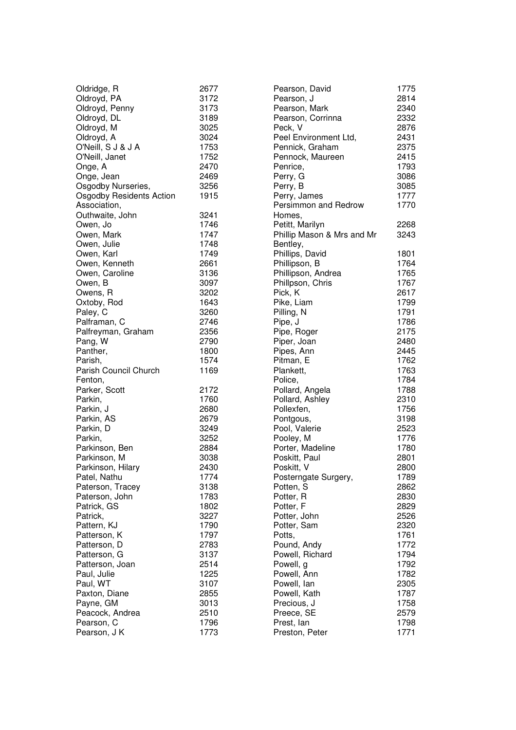| Oldridge, R                     | 2677 | Pearson, David             | 1775 |
|---------------------------------|------|----------------------------|------|
| Oldroyd, PA                     | 3172 | Pearson, J                 | 2814 |
| Oldroyd, Penny                  | 3173 | Pearson, Mark              | 2340 |
| Oldroyd, DL                     | 3189 | Pearson, Corrinna          | 2332 |
| Oldroyd, M                      | 3025 | Peck, V                    | 2876 |
| Oldroyd, A                      | 3024 | Peel Environment Ltd,      | 2431 |
| O'Neill, S J & J A              | 1753 | Pennick, Graham            | 2375 |
| O'Neill, Janet                  | 1752 | Pennock, Maureen           | 2415 |
| Onge, A                         | 2470 | Penrice,                   | 1793 |
| Onge, Jean                      | 2469 | Perry, G                   | 3086 |
| Osgodby Nurseries,              | 3256 | Perry, B                   | 3085 |
| <b>Osgodby Residents Action</b> | 1915 | Perry, James               | 1777 |
| Association,                    |      | Persimmon and Redrow       | 1770 |
| Outhwaite, John                 | 3241 | Homes,                     |      |
| Owen, Jo                        | 1746 | Petitt, Marilyn            | 2268 |
| Owen, Mark                      | 1747 | Phillip Mason & Mrs and Mr | 3243 |
| Owen, Julie                     | 1748 | Bentley,                   |      |
| Owen, Karl                      | 1749 | Phillips, David            | 1801 |
| Owen, Kenneth                   | 2661 | Phillipson, B              | 1764 |
| Owen, Caroline                  | 3136 | Phillipson, Andrea         | 1765 |
| Owen, B                         | 3097 | Phillpson, Chris           | 1767 |
| Owens, R                        | 3202 | Pick, K                    | 2617 |
| Oxtoby, Rod                     | 1643 | Pike, Liam                 | 1799 |
| Paley, C                        | 3260 | Pilling, N                 | 1791 |
| Palframan, C                    | 2746 | Pipe, J                    | 1786 |
| Palfreyman, Graham              | 2356 | Pipe, Roger                | 2175 |
| Pang, W                         | 2790 | Piper, Joan                | 2480 |
| Panther,                        | 1800 | Pipes, Ann                 | 2445 |
| Parish,                         | 1574 | Pitman, E                  | 1762 |
| Parish Council Church           | 1169 | Plankett,                  | 1763 |
| Fenton,                         |      | Police,                    | 1784 |
| Parker, Scott                   | 2172 | Pollard, Angela            | 1788 |
| Parkin,                         | 1760 | Pollard, Ashley            | 2310 |
| Parkin, J                       | 2680 | Pollexfen,                 | 1756 |
| Parkin, AS                      | 2679 | Pontgous,                  | 3198 |
| Parkin, D                       | 3249 | Pool, Valerie              | 2523 |
| Parkin,                         | 3252 | Pooley, M                  | 1776 |
| Parkinson, Ben                  | 2884 | Porter, Madeline           | 1780 |
| Parkinson, M                    | 3038 | Poskitt, Paul              | 2801 |
| Parkinson, Hilary               | 2430 | Poskitt, V                 | 2800 |
| Patel, Nathu                    | 1774 | Posterngate Surgery,       | 1789 |
| Paterson, Tracey                | 3138 | Potten, S                  | 2862 |
| Paterson, John                  | 1783 | Potter, R                  | 2830 |
| Patrick, GS                     | 1802 | Potter, F                  | 2829 |
| Patrick,                        | 3227 | Potter, John               | 2526 |
| Pattern, KJ                     | 1790 | Potter, Sam                | 2320 |
| Patterson, K                    | 1797 | Potts,                     | 1761 |
| Patterson, D                    | 2783 | Pound, Andy                | 1772 |
| Patterson, G                    | 3137 | Powell, Richard            | 1794 |
| Patterson, Joan                 | 2514 | Powell, g                  | 1792 |
| Paul, Julie                     | 1225 | Powell, Ann                | 1782 |
| Paul, WT                        | 3107 | Powell, lan                | 2305 |
| Paxton, Diane                   | 2855 | Powell, Kath               | 1787 |
| Payne, GM                       | 3013 | Precious, J                | 1758 |
| Peacock, Andrea                 | 2510 | Preece, SE                 | 2579 |
| Pearson, C                      | 1796 | Prest, lan                 | 1798 |
| Pearson, J K                    | 1773 | Preston, Peter             | 1771 |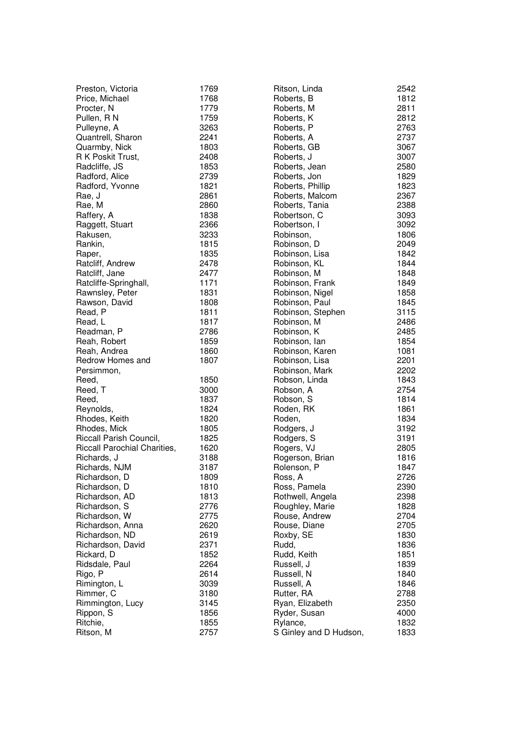| Preston, Victoria            | 1769 | Ritson, Linda          | 2542 |
|------------------------------|------|------------------------|------|
| Price, Michael               | 1768 | Roberts, B             | 1812 |
| Procter, N                   | 1779 | Roberts, M             | 2811 |
| Pullen, RN                   | 1759 | Roberts, K             | 2812 |
| Pulleyne, A                  | 3263 | Roberts, P             | 2763 |
| Quantrell, Sharon            | 2241 | Roberts, A             | 2737 |
| Quarmby, Nick                | 1803 | Roberts, GB            | 3067 |
| R K Poskit Trust,            | 2408 | Roberts, J             | 3007 |
| Radcliffe, JS                | 1853 | Roberts, Jean          | 2580 |
| Radford, Alice               | 2739 | Roberts, Jon           | 1829 |
| Radford, Yvonne              | 1821 | Roberts, Phillip       | 1823 |
| Rae, J                       | 2861 | Roberts, Malcom        | 2367 |
| Rae, M                       | 2860 | Roberts, Tania         | 2388 |
| Raffery, A                   | 1838 | Robertson, C           | 3093 |
| Raggett, Stuart              | 2366 | Robertson, I           | 3092 |
| Rakusen,                     | 3233 | Robinson,              | 1806 |
| Rankin,                      | 1815 | Robinson, D            | 2049 |
| Raper,                       | 1835 | Robinson, Lisa         | 1842 |
| Ratcliff, Andrew             | 2478 | Robinson, KL           | 1844 |
| Ratcliff, Jane               | 2477 | Robinson, M            | 1848 |
| Ratcliffe-Springhall,        | 1171 | Robinson, Frank        | 1849 |
| Rawnsley, Peter              | 1831 | Robinson, Nigel        | 1858 |
| Rawson, David                | 1808 | Robinson, Paul         | 1845 |
| Read, P                      | 1811 | Robinson, Stephen      | 3115 |
| Read, L                      | 1817 | Robinson, M            | 2486 |
| Readman, P                   | 2786 | Robinson, K            | 2485 |
| Reah, Robert                 | 1859 | Robinson, Ian          | 1854 |
| Reah, Andrea                 | 1860 | Robinson, Karen        | 1081 |
| Redrow Homes and             | 1807 | Robinson, Lisa         | 2201 |
| Persimmon,                   |      | Robinson, Mark         | 2202 |
| Reed,                        | 1850 | Robson, Linda          | 1843 |
| Reed, T                      | 3000 | Robson, A              | 2754 |
| Reed,                        | 1837 | Robson, S              | 1814 |
| Reynolds,                    | 1824 | Roden, RK              | 1861 |
| Rhodes, Keith                | 1820 | Roden,                 | 1834 |
| Rhodes, Mick                 | 1805 | Rodgers, J             | 3192 |
| Riccall Parish Council,      | 1825 | Rodgers, S             | 3191 |
| Riccall Parochial Charities, | 1620 | Rogers, VJ             | 2805 |
| Richards, J                  | 3188 | Rogerson, Brian        | 1816 |
| Richards, NJM                | 3187 | Rolenson, P            | 1847 |
| Richardson, D                | 1809 | Ross, A                | 2726 |
| Richardson, D                | 1810 | Ross, Pamela           | 2390 |
| Richardson, AD               | 1813 | Rothwell, Angela       | 2398 |
| Richardson, S                | 2776 | Roughley, Marie        | 1828 |
| Richardson, W                | 2775 | Rouse, Andrew          | 2704 |
| Richardson, Anna             | 2620 | Rouse, Diane           | 2705 |
| Richardson, ND               | 2619 | Roxby, SE              | 1830 |
| Richardson, David            | 2371 | Rudd,                  | 1836 |
| Rickard, D                   | 1852 | Rudd, Keith            | 1851 |
| Ridsdale, Paul               | 2264 | Russell, J             | 1839 |
| Rigo, P                      | 2614 | Russell, N             | 1840 |
| Rimington, L                 | 3039 | Russell, A             | 1846 |
| Rimmer, C                    | 3180 | Rutter, RA             | 2788 |
| Rimmington, Lucy             | 3145 | Ryan, Elizabeth        | 2350 |
| Rippon, S                    | 1856 | Ryder, Susan           | 4000 |
| Ritchie,                     | 1855 | Rylance,               | 1832 |
| Ritson, M                    | 2757 | S Ginley and D Hudson, | 1833 |
|                              |      |                        |      |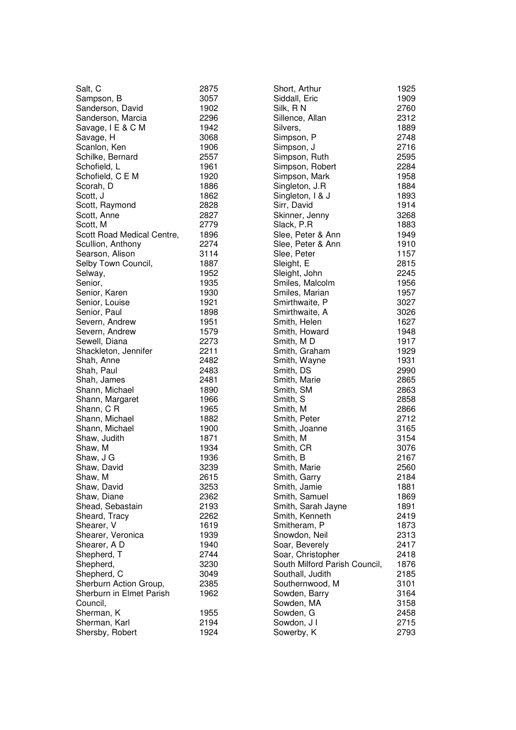| Salt, C                    | 2875 |
|----------------------------|------|
| Sampson, B                 | 3057 |
| Sanderson, David           | 1902 |
| Sanderson, Marcia          | 2296 |
| Savage, I E & C M          | 1942 |
| Savage, H                  | 3068 |
|                            | 1906 |
| Scanlon, Ken               |      |
| Schilke, Bernard           | 2557 |
| Schofield, L               | 1961 |
| Schofield, C E M           | 1920 |
| Scorah, D                  | 1886 |
| Scott, J                   | 1862 |
| Scott, Raymond             | 2828 |
| Scott, Anne                | 2827 |
| Scott, M                   | 2779 |
| Scott Road Medical Centre, | 1896 |
| Scullion, Anthony          | 2274 |
| Searson, Alison            | 3114 |
|                            | 1887 |
| Selby Town Council,        |      |
| Selway,                    | 1952 |
| Senior,                    | 1935 |
| Senior, Karen              | 1930 |
| Senior, Louise             | 1921 |
| Senior, Paul               | 1898 |
| Severn, Andrew             | 1951 |
| Severn, Andrew             | 1579 |
| Sewell, Diana              | 2273 |
| Shackleton, Jennifer       | 2211 |
| Shah, Anne                 | 2482 |
| Shah, Paul                 | 2483 |
| Shah, James                | 2481 |
|                            |      |
| Shann, Michael             | 1890 |
| Shann, Margaret            | 1966 |
| Shann, C R                 | 1965 |
| Shann, Michael             | 1882 |
| Shann, Michael             | 1900 |
| Shaw, Judith               | 1871 |
| Shaw, M                    | 1934 |
| Shaw, J G                  | 1936 |
| Shaw, David                | 3239 |
| Shaw, M                    | 2615 |
| Shaw, David                | 3253 |
| Shaw, Diane                | 2362 |
| Shead, Sebastain           | 2193 |
|                            |      |
| Sheard, Tracy              | 2262 |
| Shearer, V                 | 1619 |
| Shearer, Veronica          | 1939 |
| Shearer, A D               | 1940 |
| Shepherd, T                | 2744 |
| Shepherd,                  | 3230 |
| Shepherd, C                | 3049 |
| Sherburn Action Group,     | 2385 |
| Sherburn in Elmet Parish   | 1962 |
| Council,                   |      |
| Sherman, K                 | 1955 |
| Sherman, Karl              | 2194 |
|                            | 1924 |
| Shersby, Robert            |      |

| Short, Arthur                 | 1925 |
|-------------------------------|------|
| Siddall, Eric                 | 1909 |
| Silk, RN                      | 2760 |
| Sillence, Allan               | 2312 |
| Silvers,                      | 1889 |
|                               |      |
| Simpson, P                    | 2748 |
| Simpson, J                    | 2716 |
| Simpson, Ruth                 | 2595 |
| Simpson, Robert               | 2284 |
| Simpson, Mark                 | 1958 |
| Singleton, J.R                | 1884 |
| Singleton, I & J              | 1893 |
|                               |      |
| Sirr, David                   | 1914 |
| Skinner, Jenny                | 3268 |
| Slack, P.R                    | 1883 |
| Slee, Peter & Ann             | 1949 |
| Slee, Peter & Ann             | 1910 |
| Slee, Peter                   | 1157 |
| Sleight, E                    | 2815 |
|                               | 2245 |
| Sleight, John                 |      |
| Smiles, Malcolm               | 1956 |
| Smiles, Marian                | 1957 |
| Smirthwaite, P                | 3027 |
| Smirthwaite, A                | 3026 |
| Smith, Helen                  | 1627 |
| Smith, Howard                 | 1948 |
| Smith, MD                     | 1917 |
|                               |      |
| Smith, Graham                 | 1929 |
| Smith, Wayne                  | 1931 |
| Smith, DS                     | 2990 |
| Smith, Marie                  | 2865 |
| Smith, SM                     | 2863 |
| Smith, S                      | 2858 |
| Smith, M                      | 2866 |
| Smith, Peter                  | 2712 |
| Smith, Joanne                 | 3165 |
|                               |      |
| Smith, M                      | 3154 |
| Smith, CR                     | 3076 |
| Smith, B                      | 2167 |
| Smith, Marie                  | 2560 |
| Smith, Garry                  | 2184 |
| Smith, Jamie                  | 1881 |
| Smith, Samuel                 | 1869 |
| Smith, Sarah Jayne            | 1891 |
|                               |      |
| Smith, Kenneth                | 2419 |
| Smitheram, P                  | 1873 |
| Snowdon, Neil                 | 2313 |
| Soar, Beverely                | 2417 |
| Soar, Christopher             | 2418 |
| South Milford Parish Council, | 1876 |
| Southall, Judith              | 2185 |
| Southernwood, M               | 3101 |
|                               |      |
| Sowden, Barry                 | 3164 |
| Sowden, MA                    | 3158 |
| Sowden, G                     | 2458 |
| Sowdon, J I                   | 2715 |
| Sowerby, K                    | 2793 |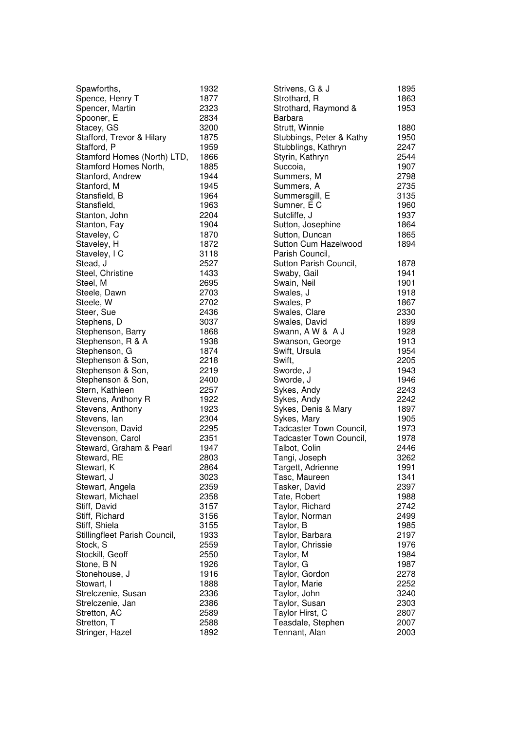| Spawforths,                         | 1932 |
|-------------------------------------|------|
| Spence, Henry T                     | 1877 |
| Spencer, Martin                     | 2323 |
| Spooner, E                          | 2834 |
| Stacey, GS                          | 3200 |
| Stafford, Trevor & Hilary           | 1875 |
| Stafford, P                         | 1959 |
| Stamford Homes (North) LTD,         | 1866 |
| Stamford Homes North,               |      |
|                                     | 1885 |
| Stanford, Andrew                    | 1944 |
| Stanford, M                         | 1945 |
| Stansfield, B                       | 1964 |
| Stansfield,                         | 1963 |
| Stanton, John                       | 2204 |
| Stanton, Fay                        | 1904 |
| Staveley, C                         | 1870 |
| Staveley, H                         | 1872 |
| Staveley, I C                       | 3118 |
| Stead, J                            | 2527 |
| Steel, Christine                    | 1433 |
| Steel, M                            | 2695 |
| Steele, Dawn                        | 2703 |
| Steele, W                           | 2702 |
|                                     | 2436 |
| Steer, Sue                          |      |
| Stephens, D                         | 3037 |
| Stephenson, Barry                   | 1868 |
| Stephenson, R & A                   | 1938 |
| Stephenson, G                       | 1874 |
| Stephenson & Son,                   | 2218 |
| Stephenson & Son,                   | 2219 |
| Stephenson & Son,                   | 2400 |
| Stern, Kathleen                     | 2257 |
| Stevens, Anthony R                  | 1922 |
| Stevens, Anthony                    | 1923 |
| Stevens, lan                        | 2304 |
| Stevenson, David                    | 2295 |
| Stevenson, Carol                    | 2351 |
| Steward, Graham & Pearl             | 1947 |
| Steward, RE                         | 2803 |
| Stewart, K                          | 2864 |
| Stewart, J                          | 3023 |
|                                     | 2359 |
| Stewart, Angela<br>Stewart, Michael | 2358 |
|                                     |      |
| Stiff, David                        | 3157 |
| Stiff, Richard                      | 3156 |
| Stiff, Shiela                       | 3155 |
| Stillingfleet Parish Council,       | 1933 |
| Stock, S                            | 2559 |
| Stockill, Geoff                     | 2550 |
| Stone, BN                           | 1926 |
| Stonehouse, J                       | 1916 |
| Stowart, I                          | 1888 |
| Strelczenie, Susan                  | 2336 |
| Strelczenie, Jan                    | 2386 |
| Stretton, AC                        | 2589 |
| Stretton, T                         | 2588 |
| Stringer, Hazel                     | 1892 |
|                                     |      |

| Strivens, G & J                                           | 1895         |
|-----------------------------------------------------------|--------------|
| Strothard, R                                              | 1863         |
| Strothard, Raymond &                                      | 1953         |
| Barbara<br>Strutt, Winnie<br>Stubbings, Peter & Kathy     | 1880<br>1950 |
| Stubblings, Kathryn                                       | 2247         |
| Styrin, Kathryn                                           | 2544         |
| Succoia,                                                  | 1907         |
| Summers, M                                                | 2798         |
| Summers, A                                                | 2735         |
| Summersgill, E                                            | 3135         |
| Sumner, E C                                               | 1960         |
| Sutcliffe, J                                              | 1937         |
| Sutton, Josephine                                         | 1864         |
| Sutton, Duncan<br>Sutton Cum Hazelwood<br>Parish Council, | 1865<br>1894 |
| Sutton Parish Council,                                    | 1878         |
| Swaby, Gail                                               | 1941         |
| Swain, Neil                                               | 1901         |
| Swales, J                                                 | 1918         |
| Swales, P                                                 | 1867         |
| Swales, Clare                                             | 2330         |
| Swales, David                                             | 1899         |
| Swann, A W & A J                                          | 1928         |
| Swanson, George                                           | 1913         |
| Swift, Ursula                                             | 1954         |
| Swift,                                                    | 2205         |
| Sworde, J                                                 | 1943         |
| Sworde, J                                                 | 1946         |
| Sykes, Andy                                               | 2243         |
| Sykes, Andy                                               | 2242         |
| Sykes, Denis & Mary                                       | 1897         |
| Sykes, Mary                                               | 1905         |
| Tadcaster Town Council,                                   | 1973         |
| Tadcaster Town Council,                                   | 1978         |
| Talbot, Colin                                             | 2446         |
| Tangi, Joseph                                             | 3262         |
| Targett, Adrienne                                         | 1991         |
| Tasc, Maureen                                             | 1341         |
| Tasker, David                                             | 2397         |
| Tate, Robert                                              | 1988         |
| Taylor, Richard                                           | 2742         |
| Taylor, Norman                                            | 2499         |
| Taylor, B                                                 | 1985         |
| Taylor, Barbara                                           | 2197         |
| Taylor, Chrissie                                          | 1976         |
| Taylor, M                                                 | 1984         |
| Taylor, G                                                 | 1987         |
| Taylor, Gordon                                            | 2278         |
| Taylor, Marie                                             | 2252         |
| Taylor, John                                              | 3240         |
| Taylor, Susan                                             | 2303         |
| Taylor Hirst, C                                           | 2807         |
| Teasdale, Stephen                                         | 2007         |
| Tennant, Alan                                             | 2003         |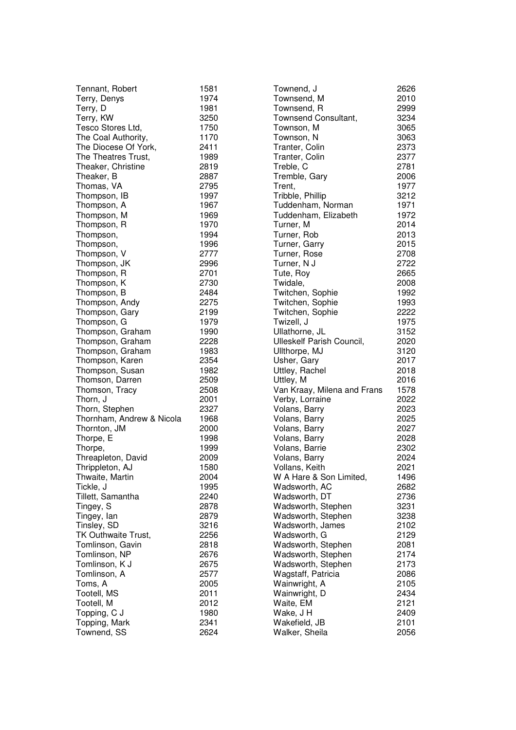| Tennant, Robert           | 1581 |
|---------------------------|------|
| Terry, Denys              | 1974 |
| Terry, D                  | 1981 |
| Terry, KW                 | 3250 |
| Tesco Stores Ltd,         | 1750 |
| The Coal Authority,       | 1170 |
| The Diocese Of York,      | 2411 |
| The Theatres Trust,       | 1989 |
|                           |      |
| Theaker, Christine        | 2819 |
| Theaker, B                | 2887 |
| Thomas, VA                | 2795 |
| Thompson, IB              | 1997 |
| Thompson, A               | 1967 |
| Thompson, M               | 1969 |
| Thompson, R               | 1970 |
| Thompson,                 | 1994 |
| Thompson,                 | 1996 |
| Thompson, V               | 2777 |
| Thompson, JK              | 2996 |
| Thompson, R               | 2701 |
| Thompson, K               | 2730 |
| Thompson, B               | 2484 |
| Thompson, Andy            | 2275 |
| Thompson, Gary            | 2199 |
| Thompson, G               | 1979 |
|                           |      |
| Thompson, Graham          | 1990 |
| Thompson, Graham          | 2228 |
| Thompson, Graham          | 1983 |
| Thompson, Karen           | 2354 |
| Thompson, Susan           | 1982 |
| Thomson, Darren           | 2509 |
| Thomson, Tracy            | 2508 |
| Thorn, J                  | 2001 |
| Thorn, Stephen            | 2327 |
| Thornham, Andrew & Nicola | 1968 |
| Thornton, JM              | 2000 |
| Thorpe, E                 | 1998 |
| Thorpe,                   | 1999 |
| Threapleton, David        | 2009 |
| Thrippleton, AJ           | 1580 |
| Thwaite, Martin           | 2004 |
| Tickle, J                 | 1995 |
| Tillett, Samantha         | 2240 |
| Tingey, S                 | 2878 |
| Tingey, lan               | 2879 |
| Tinsley, SD               | 3216 |
| TK Outhwaite Trust,       | 2256 |
| Tomlinson, Gavin          | 2818 |
| Tomlinson, NP             | 2676 |
| Tomlinson, K J            | 2675 |
| Tomlinson, A              | 2577 |
| Toms, A                   | 2005 |
| Tootell, MS               | 2011 |
| Tootell, M                | 2012 |
| Topping, C J              | 1980 |
| Topping, Mark             | 2341 |
| Townend, SS               | 2624 |
|                           |      |

| Townend, J                  | 2626 |
|-----------------------------|------|
| Townsend, M                 | 2010 |
| Townsend, R                 | 2999 |
| Townsend Consultant,        | 3234 |
| Townson, M                  | 3065 |
| Townson, N                  | 3063 |
| Tranter, Colin              | 2373 |
| Tranter, Colin              | 2377 |
| Treble, C                   | 2781 |
| Tremble, Gary               | 2006 |
| Trent,                      | 1977 |
|                             |      |
| Tribble, Phillip            | 3212 |
| Tuddenham, Norman           | 1971 |
| Tuddenham, Elizabeth        | 1972 |
| Turner, M                   | 2014 |
| Turner, Rob                 | 2013 |
| Turner, Garry               | 2015 |
| Turner, Rose                | 2708 |
| Turner, N J                 | 2722 |
| Tute, Roy                   | 2665 |
| Twidale,                    | 2008 |
| Twitchen, Sophie            | 1992 |
| Twitchen, Sophie            | 1993 |
| Twitchen, Sophie            | 2222 |
| Twizell, J                  | 1975 |
| Ullathorne, JL              | 3152 |
| Ulleskelf Parish Council,   | 2020 |
| Ullthorpe, MJ               | 3120 |
| Usher, Gary                 | 2017 |
| Uttley, Rachel              | 2018 |
| Uttley, M                   | 2016 |
| Van Kraay, Milena and Frans | 1578 |
| Verby, Lorraine             | 2022 |
| Volans, Barry               | 2023 |
| Volans, Barry               | 2025 |
| Volans, Barry               | 2027 |
| Volans, Barry               | 2028 |
| Volans, Barrie              | 2302 |
| Volans, Barry               | 2024 |
| Vollans, Keith              | 2021 |
|                             | 1496 |
| W A Hare & Son Limited,     |      |
| Wadsworth, AC               | 2682 |
| Wadsworth, DT               | 2736 |
| Wadsworth, Stephen          | 3231 |
| Wadsworth, Stephen          | 3238 |
| Wadsworth, James            | 2102 |
| Wadsworth, G                | 2129 |
| Wadsworth, Stephen          | 2081 |
| Wadsworth, Stephen          | 2174 |
| Wadsworth, Stephen          | 2173 |
| Wagstaff, Patricia          | 2086 |
| Wainwright, A               | 2105 |
| Wainwright, D               | 2434 |
| Waite, EM                   | 2121 |
| Wake, J H                   | 2409 |
| Wakefield, JB               | 2101 |
| Walker, Sheila              | 2056 |
|                             |      |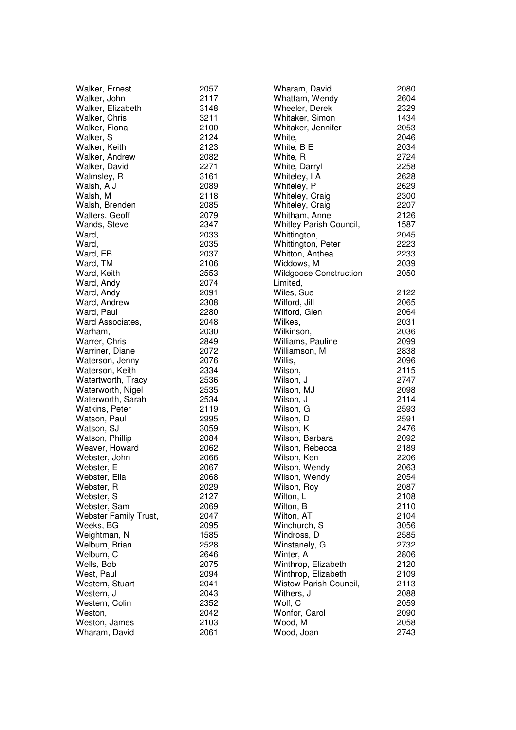| Walker, Ernest        | 2057 | Wharam, D         |
|-----------------------|------|-------------------|
| Walker, John          | 2117 | Whattam, \        |
| Walker, Elizabeth     | 3148 | Wheeler, D        |
| Walker, Chris         | 3211 | Whitaker, 9       |
| Walker, Fiona         | 2100 | Whitaker, .       |
| Walker, S             | 2124 | White,            |
| Walker, Keith         | 2123 | White, B E        |
| Walker, Andrew        | 2082 | White, R          |
| Walker, David         | 2271 | White, Dar        |
| Walmsley, R           | 3161 | Whiteley, I       |
| Walsh, A J            | 2089 | Whiteley, F       |
| Walsh, M              | 2118 | Whiteley, C       |
| Walsh, Brenden        | 2085 | Whiteley, C       |
| Walters, Geoff        | 2079 | Whitham, /        |
| Wands, Steve          | 2347 | <b>Whitley Pa</b> |
| Ward,                 | 2033 | Whittingtor       |
| Ward,                 | 2035 | Whittingtor       |
| Ward, EB              | 2037 | Whitton, Ar       |
| Ward, TM              | 2106 | Widdows, I        |
| Ward, Keith           | 2553 | Wildgoose         |
| Ward, Andy            | 2074 | Limited,          |
| Ward, Andy            | 2091 | Wiles, Sue        |
| Ward, Andrew          | 2308 | Wilford, Jill     |
| Ward, Paul            | 2280 | Wilford, Glo      |
| Ward Associates,      | 2048 | Wilkes.           |
| Warham,               | 2030 | Wilkinson,        |
| Warrer, Chris         | 2849 | Williams, P       |
| Warriner, Diane       | 2072 | Williamson        |
| Waterson, Jenny       | 2076 | Willis,           |
| Waterson, Keith       | 2334 | Wilson,           |
| Watertworth, Tracy    | 2536 | Wilson, J         |
| Waterworth, Nigel     | 2535 | Wilson, MJ        |
| Waterworth, Sarah     | 2534 | Wilson, J         |
| <b>Watkins, Peter</b> | 2119 | Wilson, G         |
| Watson, Paul          | 2995 | Wilson, D         |
| Watson, SJ            | 3059 | Wilson, K         |
| Watson, Phillip       | 2084 | Wilson, Ba        |
| Weaver, Howard        | 2062 | Wilson, Re        |
| Webster, John         | 2066 | Wilson, Ke        |
| Webster, E            | 2067 | Wilson, We        |
| Webster, Ella         | 2068 | Wilson, We        |
| Webster, R            | 2029 | Wilson, Ro        |
| Webster, S            | 2127 | Wilton, L         |
| Webster, Sam          | 2069 | Wilton, B         |
| Webster Family Trust, | 2047 | Wilton, AT        |
| Weeks, BG             | 2095 | Winchurch         |
| Weightman, N          | 1585 | Windross,         |
| Welburn, Brian        | 2528 | Winstanely        |
| Welburn, C            | 2646 | Winter, A         |
| Wells, Bob            | 2075 | Winthrop, I       |
| West, Paul            | 2094 | Winthrop, I       |
| Western, Stuart       | 2041 | <b>Wistow Pa</b>  |
| Western, J            | 2043 | Withers, J        |
| Western, Colin        | 2352 | Wolf, C           |
| Weston,               | 2042 | Wonfor, Ca        |
| Weston, James         | 2103 | Wood, M           |
| Wharam, David         | 2061 | Wood, Joa         |
|                       |      |                   |

| <i>N</i> haram, David          | 2080 |
|--------------------------------|------|
| <b>Nhattam, Wendy</b>          | 2604 |
| <b>Nheeler, Derek</b>          | 2329 |
| <b>Nhitaker, Simon</b>         | 1434 |
| <b>Nhitaker, Jennifer</b>      | 2053 |
| Nhite,                         | 2046 |
| White, B E                     | 2034 |
| White, R                       | 2724 |
| <b>Nhite, Darryl</b>           | 2258 |
| Whiteley, I A                  | 2628 |
| Whiteley, P                    | 2629 |
| <b>Nhiteley, Craig</b>         | 2300 |
| <b>Nhiteley, Craig</b>         | 2207 |
| <b>Nhitham, Anne</b>           | 2126 |
| <b>Nhitley Parish Council,</b> | 1587 |
|                                |      |
| Whittington,                   | 2045 |
| <b>Nhittington, Peter</b>      | 2223 |
| <b>Nhitton, Anthea</b>         | 2233 |
| <b>Niddows</b> , M             | 2039 |
| <b>Nildgoose Construction</b>  | 2050 |
| imited,                        |      |
| Niles, Sue                     | 2122 |
| Nilford, Jill                  | 2065 |
| Nilford, Glen                  | 2064 |
| Nilkes,                        | 2031 |
| Wilkinson,                     | 2036 |
| <b>Nilliams, Pauline</b>       | 2099 |
| Nilliamson, M                  | 2838 |
| Nillis,                        | 2096 |
| Nilson,                        | 2115 |
| Nilson, J                      | 2747 |
| Nilson, MJ                     | 2098 |
| Vilson, J                      | 2114 |
|                                | 2593 |
| Nilson, G                      |      |
| Nilson, D                      | 2591 |
| Nilson, K                      | 2476 |
| Nilson, Barbara                | 2092 |
| Nilson, Rebecca                | 2189 |
| Nilson, Ken                    | 2206 |
| Nilson, Wendy                  | 2063 |
| Nilson, Wendy                  | 2054 |
| Wilson, Roy                    | 2087 |
| Nilton, L                      | 2108 |
| Nilton, B                      | 2110 |
| Nilton, AT                     | 2104 |
| Ninchurch, S                   | 3056 |
| Nindross, D                    | 2585 |
| Ninstanely, G                  | 2732 |
| Ninter, A                      | 2806 |
| Ninthrop, Elizabeth            | 2120 |
| Ninthrop, Elizabeth            | 2109 |
| <b>Nistow Parish Council,</b>  | 2113 |
|                                |      |
| Nithers, J                     | 2088 |
| Nolf, C                        | 2059 |
| Nonfor, Carol                  | 2090 |
| Nood, M                        | 2058 |
| Nood, Joan                     | 2743 |
|                                |      |